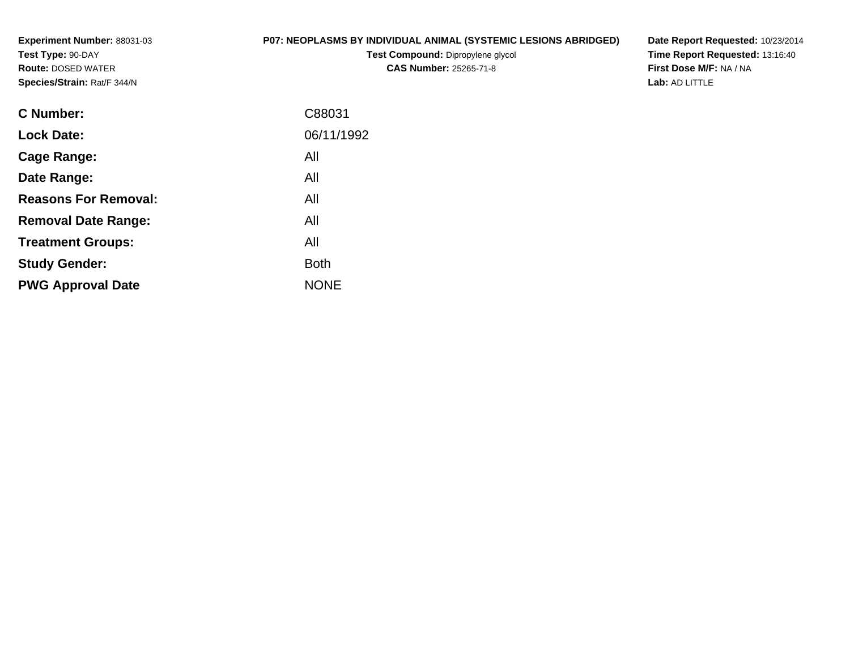**Experiment Number:** 88031-03**Test Type:** 90-DAY **Route:** DOSED WATER**Species/Strain:** Rat/F 344/N

## **P07: NEOPLASMS BY INDIVIDUAL ANIMAL (SYSTEMIC LESIONS ABRIDGED)**

**Test Compound:** Dipropylene glycol **CAS Number:** 25265-71-8

**Date Report Requested:** 10/23/2014 **Time Report Requested:** 13:16:40**First Dose M/F:** NA / NA**Lab:** AD LITTLE

| <b>C</b> Number:            | C88031      |
|-----------------------------|-------------|
| <b>Lock Date:</b>           | 06/11/1992  |
| Cage Range:                 | All         |
| Date Range:                 | All         |
| <b>Reasons For Removal:</b> | All         |
| <b>Removal Date Range:</b>  | All         |
| <b>Treatment Groups:</b>    | All         |
| <b>Study Gender:</b>        | <b>Both</b> |
| <b>PWG Approval Date</b>    | <b>NONE</b> |
|                             |             |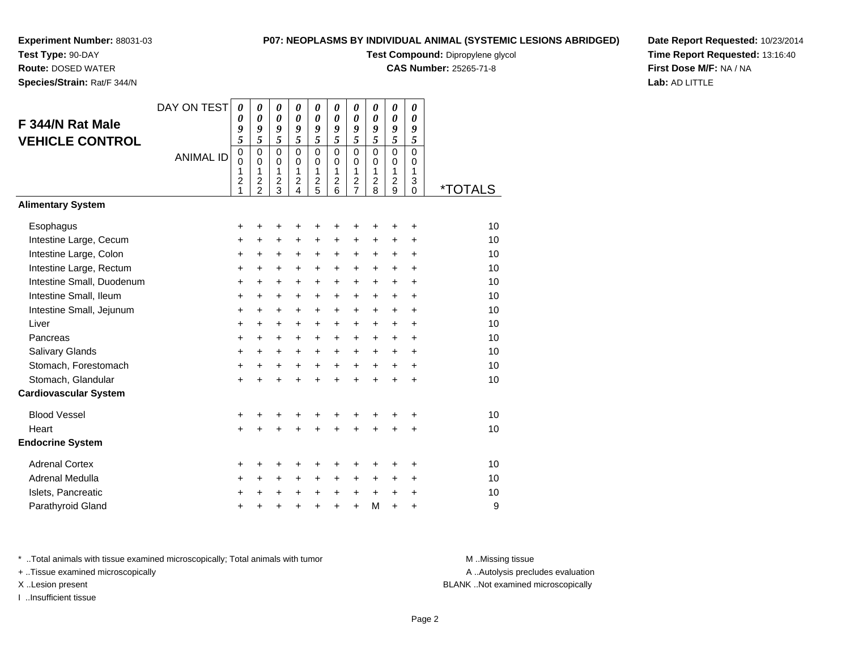# **Test Type:** 90-DAY

 **Route:** DOSED WATER**Species/Strain:** Rat/F 344/N

#### **P07: NEOPLASMS BY INDIVIDUAL ANIMAL (SYSTEMIC LESIONS ABRIDGED)**

**Test Compound:** Dipropylene glycol

**CAS Number:** 25265-71-8

**Date Report Requested:** 10/23/2014**Time Report Requested:** 13:16:40**First Dose M/F:** NA / NA**Lab:** AD LITTLE

| F 344/N Rat Male<br><b>VEHICLE CONTROL</b>                    | DAY ON TEST<br><b>ANIMAL ID</b> | $\boldsymbol{\theta}$<br>0<br>9<br>5<br>$\mathbf 0$<br>0<br>1<br>$\overline{c}$<br>1 | 0<br>$\boldsymbol{\theta}$<br>9<br>5<br>$\mathbf 0$<br>$\mathbf 0$<br>1<br>$\overline{c}$<br>$\overline{2}$ | 0<br>$\boldsymbol{\theta}$<br>9<br>5<br>$\mathbf 0$<br>$\mathbf 0$<br>1<br>2<br>3 | 0<br>0<br>9<br>5<br>$\Omega$<br>$\mathbf 0$<br>1<br>$\overline{c}$<br>$\overline{4}$ | 0<br>$\boldsymbol{\theta}$<br>9<br>5<br>$\mathbf 0$<br>$\mathbf 0$<br>1<br>$\frac{2}{5}$ | $\boldsymbol{\theta}$<br>$\boldsymbol{\theta}$<br>9<br>5<br>$\mathbf 0$<br>$\mathbf 0$<br>1<br>$\overline{c}$<br>6 | 0<br>$\boldsymbol{\theta}$<br>9<br>5<br>$\mathbf 0$<br>$\mathbf 0$<br>1<br>$\frac{2}{7}$ | 0<br>$\boldsymbol{\theta}$<br>9<br>$\overline{5}$<br>0<br>$\mathbf 0$<br>1<br>$\overline{c}$<br>8 | 0<br>0<br>9<br>$\overline{5}$<br>0<br>0<br>1<br>$\overline{\mathbf{c}}$<br>9 | 0<br>$\boldsymbol{\theta}$<br>9<br>5<br>$\Omega$<br>$\Omega$<br>1<br>3<br>$\Omega$ | <i><b>*TOTALS</b></i> |
|---------------------------------------------------------------|---------------------------------|--------------------------------------------------------------------------------------|-------------------------------------------------------------------------------------------------------------|-----------------------------------------------------------------------------------|--------------------------------------------------------------------------------------|------------------------------------------------------------------------------------------|--------------------------------------------------------------------------------------------------------------------|------------------------------------------------------------------------------------------|---------------------------------------------------------------------------------------------------|------------------------------------------------------------------------------|------------------------------------------------------------------------------------|-----------------------|
| <b>Alimentary System</b>                                      |                                 |                                                                                      |                                                                                                             |                                                                                   |                                                                                      |                                                                                          |                                                                                                                    |                                                                                          |                                                                                                   |                                                                              |                                                                                    |                       |
| Esophagus<br>Intestine Large, Cecum<br>Intestine Large, Colon |                                 | +<br>+<br>+                                                                          | +<br>+<br>$\ddot{}$                                                                                         | +<br>+<br>+                                                                       | +<br>+<br>+                                                                          | +<br>+<br>+                                                                              | +<br>+<br>$\ddot{}$                                                                                                | +<br>+<br>+                                                                              | +<br>$\pm$<br>+                                                                                   | +<br>+<br>$\ddot{}$                                                          | +<br>+<br>+                                                                        | 10<br>10<br>10        |
| Intestine Large, Rectum<br>Intestine Small, Duodenum          |                                 | $\ddot{}$<br>$\ddot{}$                                                               | +<br>$\ddot{}$                                                                                              | +<br>+                                                                            | $\ddot{}$<br>$\ddot{}$                                                               | $\ddot{}$<br>$\ddot{}$                                                                   | $\ddot{}$<br>$\ddot{}$                                                                                             | +<br>$\ddot{}$                                                                           | $\ddot{}$<br>$\ddot{}$                                                                            | +<br>$\ddot{}$                                                               | $\ddot{}$<br>$\ddot{}$                                                             | 10<br>10              |
| Intestine Small, Ileum                                        |                                 | $\ddot{}$                                                                            | $\ddot{}$                                                                                                   | +                                                                                 | $\ddot{}$                                                                            | $\ddot{}$                                                                                | $\ddot{}$                                                                                                          | $\ddot{}$                                                                                | $\ddot{}$                                                                                         | $\ddot{}$                                                                    | $\ddot{}$                                                                          | 10                    |
| Intestine Small, Jejunum<br>Liver                             |                                 | +<br>$\ddot{}$                                                                       | +<br>$\ddot{}$                                                                                              | +<br>$\ddot{}$                                                                    | +<br>$\ddot{}$                                                                       | $\ddot{}$<br>$\ddot{}$                                                                   | $\ddot{}$<br>$\ddot{}$                                                                                             | $\ddot{}$<br>$\ddot{}$                                                                   | +<br>$\ddot{}$                                                                                    | +<br>$\ddot{}$                                                               | $\ddot{}$<br>$\ddot{}$                                                             | 10<br>10              |
| Pancreas<br>Salivary Glands                                   |                                 | $\ddot{}$<br>$\ddot{}$                                                               | $\ddot{}$<br>+                                                                                              | $\ddot{}$<br>+                                                                    | $\ddot{}$<br>+                                                                       | $\ddot{}$<br>$\ddot{}$                                                                   | $\ddot{}$<br>$\ddot{}$                                                                                             | $\ddot{}$<br>$\ddot{}$                                                                   | $\ddot{}$<br>$\ddot{}$                                                                            | $\ddot{}$<br>$\ddot{}$                                                       | $\ddot{}$<br>$\ddot{}$                                                             | 10<br>10              |
| Stomach, Forestomach<br>Stomach, Glandular                    |                                 | $\ddot{}$<br>$\ddot{}$                                                               | $\ddot{}$<br>$\ddot{}$                                                                                      | $\ddot{}$<br>$\ddot{}$                                                            | +<br>$\ddot{}$                                                                       | $\ddot{}$<br>$\ddot{}$                                                                   | $+$<br>$\ddot{}$                                                                                                   | $\ddot{}$<br>$\ddot{}$                                                                   | $+$<br>$\ddot{}$                                                                                  | $\ddot{}$<br>$\ddot{}$                                                       | $\ddot{}$<br>$\ddot{}$                                                             | 10<br>10              |
| <b>Cardiovascular System</b>                                  |                                 |                                                                                      |                                                                                                             |                                                                                   |                                                                                      |                                                                                          |                                                                                                                    |                                                                                          |                                                                                                   |                                                                              |                                                                                    |                       |
| <b>Blood Vessel</b><br>Heart                                  |                                 | +<br>$\ddot{}$                                                                       |                                                                                                             | $\ddot{}$                                                                         | +<br>$\ddot{}$                                                                       | +<br>$\ddot{}$                                                                           | ÷                                                                                                                  | +<br>+                                                                                   | +                                                                                                 | +<br>+                                                                       | +<br>+                                                                             | 10<br>10              |
| <b>Endocrine System</b>                                       |                                 |                                                                                      |                                                                                                             |                                                                                   |                                                                                      |                                                                                          |                                                                                                                    |                                                                                          |                                                                                                   |                                                                              |                                                                                    |                       |
| <b>Adrenal Cortex</b><br>Adrenal Medulla                      |                                 | +<br>$\ddot{}$                                                                       | ٠<br>$\ddot{}$                                                                                              | +<br>+                                                                            | +<br>$\ddot{}$                                                                       | ٠<br>+                                                                                   | ٠<br>$\ddot{}$                                                                                                     | ٠<br>$\ddot{}$                                                                           | +<br>$\ddot{}$                                                                                    | +<br>$\ddot{}$                                                               | ÷<br>$\ddot{}$                                                                     | 10<br>10              |
| Islets, Pancreatic<br>Parathyroid Gland                       |                                 | $\ddot{}$<br>$\ddot{}$                                                               | $\ddot{}$                                                                                                   | +<br>$\ddot{}$                                                                    | +<br>$\ddot{}$                                                                       | $\ddot{}$<br>$\ddot{}$                                                                   | $\ddot{}$<br>$\ddot{}$                                                                                             | $\ddot{}$<br>$\ddot{}$                                                                   | $+$<br>М                                                                                          | +<br>$\ddot{}$                                                               | $\ddot{}$<br>$\ddot{}$                                                             | 10<br>9               |

\* ..Total animals with tissue examined microscopically; Total animals with tumor **M** . Missing tissue M ..Missing tissue

+ ..Tissue examined microscopically

I ..Insufficient tissue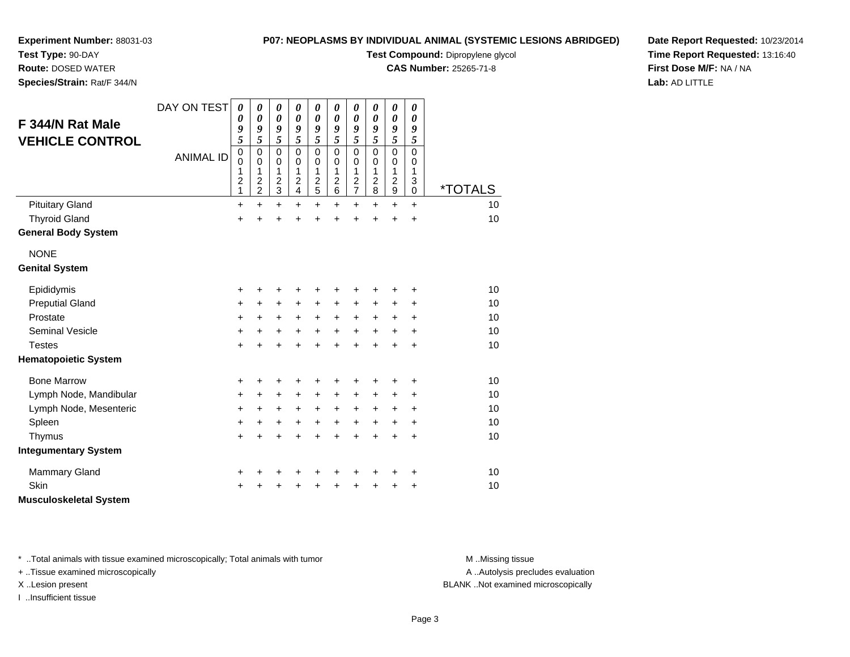**Route:** DOSED WATER**Species/Strain:** Rat/F 344/N

#### **P07: NEOPLASMS BY INDIVIDUAL ANIMAL (SYSTEMIC LESIONS ABRIDGED)**

**Test Compound:** Dipropylene glycol

**CAS Number:** 25265-71-8

 $\overline{\phantom{0}}$ 

**Date Report Requested:** 10/23/2014**Time Report Requested:** 13:16:40**First Dose M/F:** NA / NA**Lab:** AD LITTLE

| F 344/N Rat Male<br><b>VEHICLE CONTROL</b> | DAY ON TEST<br><b>ANIMAL ID</b> | 0<br>0<br>9<br>5<br>0<br>$\mathbf 0$<br>1<br>$\overline{c}$ | 0<br>$\boldsymbol{\theta}$<br>9<br>5<br>0<br>$\mathbf 0$<br>1<br>2 | 0<br>$\boldsymbol{\theta}$<br>9<br>5<br>$\mathbf 0$<br>0<br>1<br>$\overline{c}$ | 0<br>$\boldsymbol{\theta}$<br>9<br>5<br>$\mathbf 0$<br>0<br>1<br>2 | 0<br>$\boldsymbol{\theta}$<br>9<br>$\overline{\mathbf{5}}$<br>$\mathbf 0$<br>$\mathbf 0$<br>1<br>$\overline{c}$ | 0<br>$\boldsymbol{\theta}$<br>9<br>5<br>$\mathbf 0$<br>$\mathbf 0$<br>1<br>$\overline{c}$ | 0<br>$\pmb{\theta}$<br>9<br>5<br>0<br>0<br>1<br>$\boldsymbol{2}$ | 0<br>$\boldsymbol{\theta}$<br>9<br>5<br>$\mathbf 0$<br>0<br>1<br>$\overline{c}$ | $\boldsymbol{\theta}$<br>$\boldsymbol{\theta}$<br>9<br>5<br>$\mathbf 0$<br>0<br>1<br>$\boldsymbol{2}$ | 0<br>$\theta$<br>9<br>5<br>$\Omega$<br>0<br>1<br>3 |                       |
|--------------------------------------------|---------------------------------|-------------------------------------------------------------|--------------------------------------------------------------------|---------------------------------------------------------------------------------|--------------------------------------------------------------------|-----------------------------------------------------------------------------------------------------------------|-------------------------------------------------------------------------------------------|------------------------------------------------------------------|---------------------------------------------------------------------------------|-------------------------------------------------------------------------------------------------------|----------------------------------------------------|-----------------------|
|                                            |                                 | 1                                                           | $\overline{2}$                                                     | 3                                                                               | 4                                                                  | $\overline{5}$                                                                                                  | $\,6$                                                                                     | $\overline{7}$                                                   | 8                                                                               | $\overline{9}$                                                                                        | $\mathbf 0$                                        | <i><b>*TOTALS</b></i> |
| <b>Pituitary Gland</b>                     |                                 | $\ddot{}$                                                   | $\ddot{}$                                                          | $\ddot{}$                                                                       | $\ddot{}$                                                          | $\ddot{}$                                                                                                       | +                                                                                         | $\ddot{}$                                                        | $\ddot{}$                                                                       | $\ddot{}$                                                                                             | $\ddot{}$                                          | 10                    |
| <b>Thyroid Gland</b>                       |                                 | +                                                           |                                                                    | +                                                                               | +                                                                  | +                                                                                                               |                                                                                           |                                                                  |                                                                                 | +                                                                                                     | $\ddot{}$                                          | 10                    |
| <b>General Body System</b>                 |                                 |                                                             |                                                                    |                                                                                 |                                                                    |                                                                                                                 |                                                                                           |                                                                  |                                                                                 |                                                                                                       |                                                    |                       |
| <b>NONE</b>                                |                                 |                                                             |                                                                    |                                                                                 |                                                                    |                                                                                                                 |                                                                                           |                                                                  |                                                                                 |                                                                                                       |                                                    |                       |
| <b>Genital System</b>                      |                                 |                                                             |                                                                    |                                                                                 |                                                                    |                                                                                                                 |                                                                                           |                                                                  |                                                                                 |                                                                                                       |                                                    |                       |
| Epididymis                                 |                                 | +                                                           | +                                                                  | +                                                                               | +                                                                  | +                                                                                                               | +                                                                                         | +                                                                |                                                                                 | +                                                                                                     | ٠                                                  | 10                    |
| <b>Preputial Gland</b>                     |                                 | +                                                           | +                                                                  | +                                                                               | +                                                                  | $\ddot{}$                                                                                                       | +                                                                                         | $\ddot{}$                                                        | +                                                                               | +                                                                                                     | +                                                  | 10                    |
| Prostate                                   |                                 | +                                                           | $\ddot{}$                                                          | +                                                                               | +                                                                  | $\ddot{}$                                                                                                       | $\ddot{}$                                                                                 | $\ddot{}$                                                        | $\ddot{}$                                                                       | $\ddot{}$                                                                                             | $\ddot{}$                                          | 10                    |
| <b>Seminal Vesicle</b>                     |                                 | +                                                           | $\pm$                                                              | +                                                                               | +                                                                  | $\ddot{}$                                                                                                       | $\ddot{}$                                                                                 | $\ddot{}$                                                        | $\ddot{}$                                                                       | $\ddot{}$                                                                                             | $\ddot{}$                                          | 10                    |
| <b>Testes</b>                              |                                 | $\ddot{}$                                                   | +                                                                  | $\ddot{}$                                                                       | $\ddot{}$                                                          | $\ddot{}$                                                                                                       | $\ddot{}$                                                                                 | $\ddot{}$                                                        | $\ddot{}$                                                                       | $\ddot{}$                                                                                             | $\ddot{}$                                          | 10                    |
| <b>Hematopoietic System</b>                |                                 |                                                             |                                                                    |                                                                                 |                                                                    |                                                                                                                 |                                                                                           |                                                                  |                                                                                 |                                                                                                       |                                                    |                       |
| <b>Bone Marrow</b>                         |                                 | +                                                           | +                                                                  | +                                                                               | +                                                                  | +                                                                                                               | +                                                                                         | +                                                                |                                                                                 | +                                                                                                     | ٠                                                  | 10                    |
| Lymph Node, Mandibular                     |                                 | +                                                           | +                                                                  | +                                                                               | $\ddot{}$                                                          | $\ddot{}$                                                                                                       | $\ddot{}$                                                                                 | $\ddot{}$                                                        | $\ddot{}$                                                                       | $\ddot{}$                                                                                             | $\ddot{}$                                          | 10                    |
| Lymph Node, Mesenteric                     |                                 | +                                                           | $\ddot{}$                                                          | +                                                                               | +                                                                  | $\ddot{}$                                                                                                       | $\ddot{}$                                                                                 | $\ddot{}$                                                        | $\ddot{}$                                                                       | $\ddot{}$                                                                                             | $\ddot{}$                                          | 10                    |
| Spleen                                     |                                 | $\ddot{}$                                                   | +                                                                  | +                                                                               | +                                                                  | +                                                                                                               | $\ddot{}$                                                                                 | $\ddot{}$                                                        | $\ddot{}$                                                                       | +                                                                                                     | $\ddot{}$                                          | 10                    |
| Thymus                                     |                                 | $\ddot{}$                                                   | +                                                                  | $\ddot{}$                                                                       | +                                                                  | $\ddot{}$                                                                                                       | $\ddot{}$                                                                                 | $\ddot{}$                                                        | $\ddot{}$                                                                       | $\ddot{}$                                                                                             | $\ddot{}$                                          | 10                    |
| <b>Integumentary System</b>                |                                 |                                                             |                                                                    |                                                                                 |                                                                    |                                                                                                                 |                                                                                           |                                                                  |                                                                                 |                                                                                                       |                                                    |                       |
| <b>Mammary Gland</b>                       |                                 | +                                                           |                                                                    | +                                                                               | +                                                                  | +                                                                                                               | +                                                                                         | +                                                                |                                                                                 | +                                                                                                     | +                                                  | 10                    |
| Skin                                       |                                 | ٠                                                           |                                                                    | +                                                                               |                                                                    | +                                                                                                               |                                                                                           |                                                                  |                                                                                 |                                                                                                       |                                                    | 10                    |
| <b>Musculoskeletal System</b>              |                                 |                                                             |                                                                    |                                                                                 |                                                                    |                                                                                                                 |                                                                                           |                                                                  |                                                                                 |                                                                                                       |                                                    |                       |

\* ..Total animals with tissue examined microscopically; Total animals with tumor **M** . Missing tissue M ..Missing tissue

+ ..Tissue examined microscopically

I ..Insufficient tissue

A ..Autolysis precludes evaluation

X ..Lesion present BLANK ..Not examined microscopically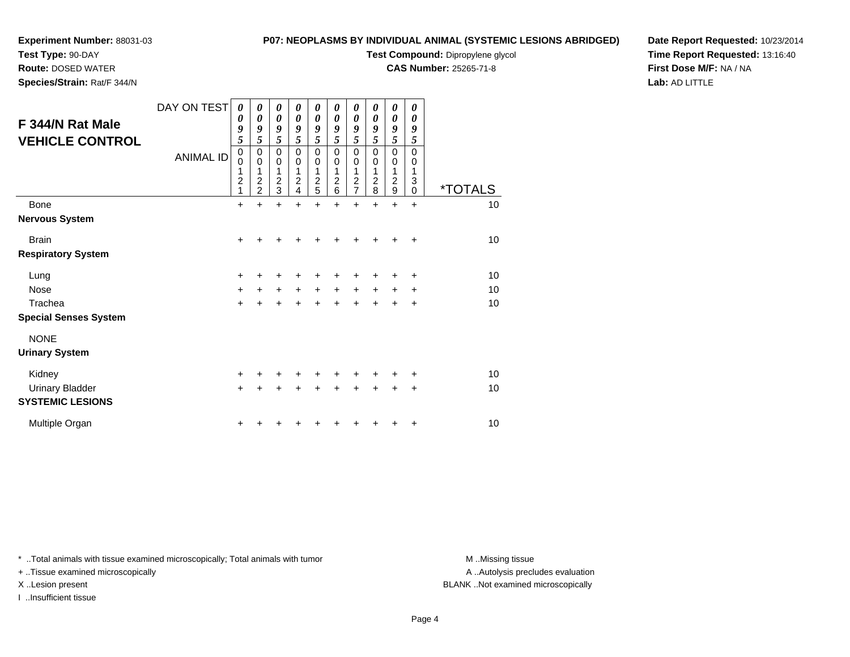## **Test Type:** 90-DAY

**Route:** DOSED WATER

**Species/Strain:** Rat/F 344/N

## **P07: NEOPLASMS BY INDIVIDUAL ANIMAL (SYSTEMIC LESIONS ABRIDGED)**

**Test Compound:** Dipropylene glycol

**CAS Number:** 25265-71-8

**Date Report Requested:** 10/23/2014**Time Report Requested:** 13:16:40**First Dose M/F:** NA / NA**Lab:** AD LITTLE

| F 344/N Rat Male<br><b>VEHICLE CONTROL</b>        | DAY ON TEST<br><b>ANIMAL ID</b> | 0<br>0<br>9<br>5<br>$\pmb{0}$<br>$\mathbf 0$<br>1<br>$\overline{c}$<br>1 | 0<br>0<br>9<br>5<br>0<br>0<br>1<br>$\overline{\mathbf{c}}$<br>$\overline{2}$ | 0<br>$\boldsymbol{\theta}$<br>9<br>5<br>$\mathbf 0$<br>$\mathbf 0$<br>1<br>$\overline{\mathbf{c}}$<br>3 | 0<br>0<br>9<br>5<br>$\mathbf 0$<br>0<br>1<br>$\frac{2}{4}$ | 0<br>0<br>9<br>$\overline{5}$<br>0<br>0<br>1<br>$\frac{2}{5}$ | 0<br>0<br>9<br>5<br>0<br>0<br>1<br>$\frac{2}{6}$ | 0<br>$\boldsymbol{\theta}$<br>9<br>5<br>$\mathbf 0$<br>$\mathbf 0$<br>1<br>$\frac{2}{7}$ | 0<br>0<br>9<br>5<br>$\mathbf 0$<br>0<br>1<br>$\overline{\mathbf{c}}$<br>8 | 0<br>$\boldsymbol{\theta}$<br>9<br>5<br>$\mathbf 0$<br>$\mathbf 0$<br>1<br>$\overline{c}$<br>$\boldsymbol{9}$ | 0<br>0<br>9<br>5<br>$\Omega$<br>0<br>1<br>3<br>$\mathbf 0$ | <i><b>*TOTALS</b></i> |
|---------------------------------------------------|---------------------------------|--------------------------------------------------------------------------|------------------------------------------------------------------------------|---------------------------------------------------------------------------------------------------------|------------------------------------------------------------|---------------------------------------------------------------|--------------------------------------------------|------------------------------------------------------------------------------------------|---------------------------------------------------------------------------|---------------------------------------------------------------------------------------------------------------|------------------------------------------------------------|-----------------------|
| <b>Bone</b>                                       |                                 | $+$                                                                      | +                                                                            | $\ddot{}$                                                                                               | +                                                          | $\ddot{}$                                                     | $\ddot{}$                                        | $\ddot{}$                                                                                | $\ddot{}$                                                                 | $\ddot{}$                                                                                                     | $\ddot{}$                                                  | 10                    |
| <b>Nervous System</b>                             |                                 |                                                                          |                                                                              |                                                                                                         |                                                            |                                                               |                                                  |                                                                                          |                                                                           |                                                                                                               |                                                            |                       |
| <b>Brain</b>                                      |                                 | $\ddot{}$                                                                | +                                                                            | +                                                                                                       |                                                            | +                                                             | +                                                | +                                                                                        | +                                                                         | +                                                                                                             | $\ddot{}$                                                  | 10                    |
| <b>Respiratory System</b>                         |                                 |                                                                          |                                                                              |                                                                                                         |                                                            |                                                               |                                                  |                                                                                          |                                                                           |                                                                                                               |                                                            |                       |
| Lung                                              |                                 | $\ddot{}$                                                                | ٠                                                                            | ÷                                                                                                       | ٠                                                          | +                                                             | ٠                                                | +                                                                                        | +                                                                         | +                                                                                                             | +                                                          | 10                    |
| <b>Nose</b>                                       |                                 | +                                                                        | $\ddot{}$                                                                    | $\ddot{}$                                                                                               | $+$                                                        | $\ddot{}$                                                     | $\ddot{}$                                        | $\ddot{}$                                                                                | $\ddot{}$                                                                 | $\ddot{}$                                                                                                     | +                                                          | 10                    |
| Trachea                                           |                                 | $\ddot{}$                                                                | +                                                                            | ÷                                                                                                       | +                                                          | +                                                             | +                                                | +                                                                                        | +                                                                         | +                                                                                                             | +                                                          | 10                    |
| <b>Special Senses System</b>                      |                                 |                                                                          |                                                                              |                                                                                                         |                                                            |                                                               |                                                  |                                                                                          |                                                                           |                                                                                                               |                                                            |                       |
| <b>NONE</b><br><b>Urinary System</b>              |                                 |                                                                          |                                                                              |                                                                                                         |                                                            |                                                               |                                                  |                                                                                          |                                                                           |                                                                                                               |                                                            |                       |
| Kidney                                            |                                 | $\ddot{}$                                                                |                                                                              |                                                                                                         |                                                            | $\ddot{}$                                                     | $\ddot{}$                                        | $\ddot{}$                                                                                | +                                                                         | +                                                                                                             | ÷                                                          | 10                    |
| <b>Urinary Bladder</b><br><b>SYSTEMIC LESIONS</b> |                                 | $\ddot{}$                                                                |                                                                              | $\ddot{}$                                                                                               | $\ddot{}$                                                  | $\ddot{}$                                                     | $\ddot{}$                                        | $\ddot{}$                                                                                | $\ddot{}$                                                                 | $\ddot{}$                                                                                                     | $\ddot{}$                                                  | 10                    |
| Multiple Organ                                    |                                 | +                                                                        |                                                                              |                                                                                                         |                                                            |                                                               |                                                  |                                                                                          |                                                                           |                                                                                                               | +                                                          | 10                    |

\* ..Total animals with tissue examined microscopically; Total animals with tumor **M** . Missing tissue M ..Missing tissue

+ ..Tissue examined microscopically

I ..Insufficient tissue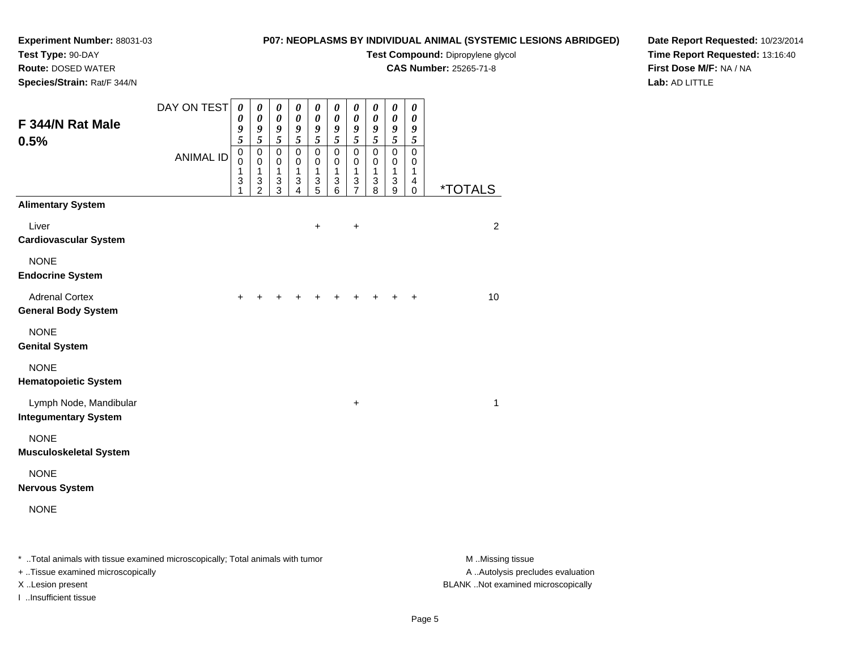**Test Type:** 90-DAY

**Route:** DOSED WATER

**Species/Strain:** Rat/F 344/N

### **P07: NEOPLASMS BY INDIVIDUAL ANIMAL (SYSTEMIC LESIONS ABRIDGED)**

**Test Compound:** Dipropylene glycol

**CAS Number:** 25265-71-8

**Date Report Requested:** 10/23/2014**Time Report Requested:** 13:16:40**First Dose M/F:** NA / NA**Lab:** AD LITTLE

| F 344/N Rat Male<br>0.5%                              | DAY ON TEST<br><b>ANIMAL ID</b> | $\boldsymbol{\theta}$<br>0<br>9<br>5<br>$\mathbf 0$ | 0<br>$\boldsymbol{\theta}$<br>9<br>5<br>$\mathbf 0$ | 0<br>$\pmb{\theta}$<br>9<br>5<br>$\mathsf 0$ | 0<br>$\boldsymbol{\theta}$<br>9<br>$\sqrt{5}$<br>$\mathbf 0$ | $\boldsymbol{\theta}$<br>$\boldsymbol{\theta}$<br>9<br>5<br>$\mathbf 0$ | 0<br>$\boldsymbol{\theta}$<br>9<br>$\sqrt{5}$<br>$\mathbf 0$ | $\boldsymbol{\theta}$<br>$\pmb{\theta}$<br>9<br>5<br>$\mathsf 0$ | $\boldsymbol{\theta}$<br>$\boldsymbol{\theta}$<br>9<br>$\sqrt{5}$<br>$\mathbf 0$ | $\boldsymbol{\theta}$<br>$\boldsymbol{\theta}$<br>9<br>5<br>$\mathbf 0$ | $\pmb{\theta}$<br>$\boldsymbol{\theta}$<br>9<br>5<br>$\mathbf 0$ |                       |
|-------------------------------------------------------|---------------------------------|-----------------------------------------------------|-----------------------------------------------------|----------------------------------------------|--------------------------------------------------------------|-------------------------------------------------------------------------|--------------------------------------------------------------|------------------------------------------------------------------|----------------------------------------------------------------------------------|-------------------------------------------------------------------------|------------------------------------------------------------------|-----------------------|
|                                                       |                                 | 0<br>$\mathbf 1$<br>3<br>1                          | $\mathbf 0$<br>$\mathbf{1}$<br>3<br>$\overline{2}$  | 0<br>$\mathbf{1}$<br>3<br>$\overline{3}$     | 0<br>1<br>3<br>4                                             | 0<br>1<br>3<br>$\overline{5}$                                           | 0<br>$\mathbf{1}$<br>3<br>6                                  | 0<br>$\mathbf{1}$<br>$\ensuremath{\mathsf{3}}$<br>$\overline{7}$ | 0<br>$\mathbf{1}$<br>3<br>8                                                      | 0<br>$\mathbf{1}$<br>3<br>$\overline{9}$                                | 0<br>$\mathbf{1}$<br>4<br>$\mathbf 0$                            | <i><b>*TOTALS</b></i> |
| <b>Alimentary System</b>                              |                                 |                                                     |                                                     |                                              |                                                              |                                                                         |                                                              |                                                                  |                                                                                  |                                                                         |                                                                  |                       |
| Liver<br><b>Cardiovascular System</b>                 |                                 |                                                     |                                                     |                                              |                                                              | +                                                                       |                                                              | +                                                                |                                                                                  |                                                                         |                                                                  | $\overline{2}$        |
| <b>NONE</b><br><b>Endocrine System</b>                |                                 |                                                     |                                                     |                                              |                                                              |                                                                         |                                                              |                                                                  |                                                                                  |                                                                         |                                                                  |                       |
| <b>Adrenal Cortex</b><br><b>General Body System</b>   |                                 | $\ddot{}$                                           |                                                     |                                              |                                                              |                                                                         |                                                              |                                                                  |                                                                                  |                                                                         | +                                                                | 10                    |
| <b>NONE</b><br><b>Genital System</b>                  |                                 |                                                     |                                                     |                                              |                                                              |                                                                         |                                                              |                                                                  |                                                                                  |                                                                         |                                                                  |                       |
| <b>NONE</b><br><b>Hematopoietic System</b>            |                                 |                                                     |                                                     |                                              |                                                              |                                                                         |                                                              |                                                                  |                                                                                  |                                                                         |                                                                  |                       |
| Lymph Node, Mandibular<br><b>Integumentary System</b> |                                 |                                                     |                                                     |                                              |                                                              |                                                                         |                                                              | +                                                                |                                                                                  |                                                                         |                                                                  | $\mathbf{1}$          |
| <b>NONE</b><br><b>Musculoskeletal System</b>          |                                 |                                                     |                                                     |                                              |                                                              |                                                                         |                                                              |                                                                  |                                                                                  |                                                                         |                                                                  |                       |
| <b>NONE</b><br><b>Nervous System</b>                  |                                 |                                                     |                                                     |                                              |                                                              |                                                                         |                                                              |                                                                  |                                                                                  |                                                                         |                                                                  |                       |
| <b>NONE</b>                                           |                                 |                                                     |                                                     |                                              |                                                              |                                                                         |                                                              |                                                                  |                                                                                  |                                                                         |                                                                  |                       |
|                                                       |                                 |                                                     |                                                     |                                              |                                                              |                                                                         |                                                              |                                                                  |                                                                                  |                                                                         |                                                                  |                       |

\* ..Total animals with tissue examined microscopically; Total animals with tumor **M** . Missing tissue M ..Missing tissue A ..Autolysis precludes evaluation + ..Tissue examined microscopically X ..Lesion present BLANK ..Not examined microscopicallyI ..Insufficient tissue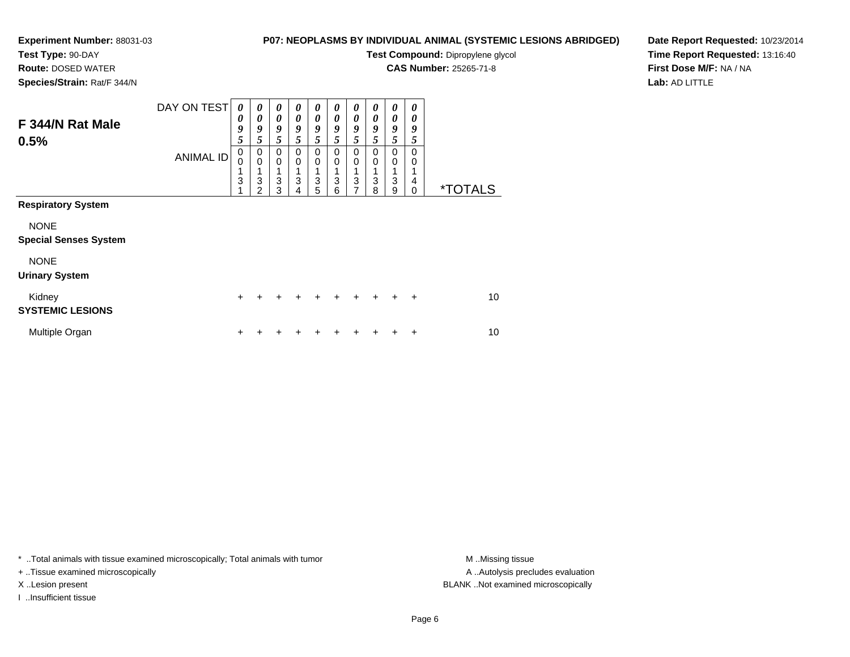**Route:** DOSED WATER

#### **P07: NEOPLASMS BY INDIVIDUAL ANIMAL (SYSTEMIC LESIONS ABRIDGED)**

**Test Compound:** Dipropylene glycol

\*TOTALS

**CAS Number:** 25265-71-8

0<br>0<br>1<br>4<br>0

**Date Report Requested:** 10/23/2014**Time Report Requested:** 13:16:40**First Dose M/F:** NA / NA**Lab:** AD LITTLE

| Species/Strain: Rat/F 344/N  |                  |                  |                       |                         |                  |                                 |                                 |                       |                  |                  |
|------------------------------|------------------|------------------|-----------------------|-------------------------|------------------|---------------------------------|---------------------------------|-----------------------|------------------|------------------|
| F 344/N Rat Male<br>0.5%     | DAY ON TEST      | 0<br>0<br>9<br>5 | 0<br>0<br>9<br>5      | 0<br>0<br>9<br>5        | 0<br>0<br>9<br>5 | 0<br>0<br>9<br>5                | 0<br>0<br>9<br>5                | 0<br>0<br>9<br>5      | 0<br>0<br>9<br>5 | 0<br>0<br>9<br>5 |
|                              | <b>ANIMAL ID</b> | 0<br>0<br>1<br>3 | 0<br>0<br>1<br>3<br>2 | 0<br>$\Omega$<br>3<br>3 | 0<br>0<br>3<br>4 | 0<br>$\mathbf 0$<br>1<br>3<br>5 | 0<br>$\mathbf 0$<br>1<br>3<br>6 | 0<br>0<br>1<br>3<br>7 | 0<br>0<br>3<br>8 | 0<br>0<br>3<br>9 |
| <b>Respiratory System</b>    |                  |                  |                       |                         |                  |                                 |                                 |                       |                  |                  |
| <b>NONE</b>                  |                  |                  |                       |                         |                  |                                 |                                 |                       |                  |                  |
| <b>Special Senses System</b> |                  |                  |                       |                         |                  |                                 |                                 |                       |                  |                  |

NONE

#### **Urinary System**

| Kidney<br><b>SYSTEMIC LESIONS</b> | + + + + + + + + + + |  |  |  |  | 10 |
|-----------------------------------|---------------------|--|--|--|--|----|
| Multiple Organ                    | + + + + + + + + + + |  |  |  |  | 10 |

\* ..Total animals with tissue examined microscopically; Total animals with tumor **M** . Missing tissue M ..Missing tissue

+ ..Tissue examined microscopically

I ..Insufficient tissue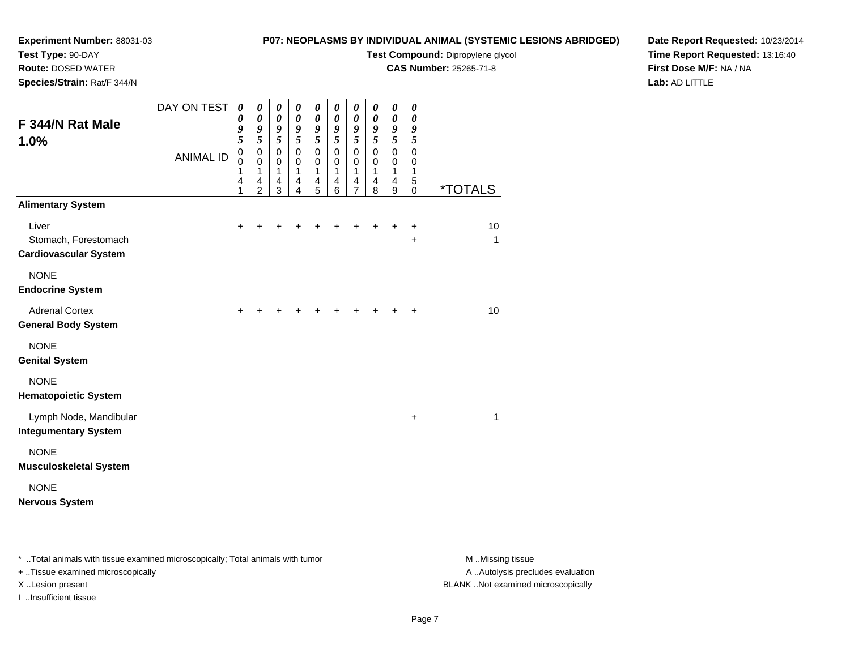**Test Type:** 90-DAY

**Route:** DOSED WATER

**Species/Strain:** Rat/F 344/N

#### **P07: NEOPLASMS BY INDIVIDUAL ANIMAL (SYSTEMIC LESIONS ABRIDGED)**

**Test Compound:** Dipropylene glycol

**CAS Number:** 25265-71-8

**Date Report Requested:** 10/23/2014**Time Report Requested:** 13:16:40**First Dose M/F:** NA / NA**Lab:** AD LITTLE

| F 344/N Rat Male<br>1.0%                                      | DAY ON TEST      | 0<br>$\boldsymbol{\theta}$<br>9<br>5      | 0<br>$\boldsymbol{\theta}$<br>9<br>5                      | $\boldsymbol{\theta}$<br>$\boldsymbol{\theta}$<br>9<br>$\sqrt{5}$ | 0<br>$\boldsymbol{\theta}$<br>9<br>5 | 0<br>$\boldsymbol{\theta}$<br>9<br>5                          | 0<br>0<br>9<br>5                | 0<br>$\pmb{\theta}$<br>9<br>5      | 0<br>$\boldsymbol{\theta}$<br>9<br>$\overline{5}$ | 0<br>$\boldsymbol{\theta}$<br>9<br>5         | 0<br>$\boldsymbol{\theta}$<br>9<br>$\mathfrak{s}$ |                       |
|---------------------------------------------------------------|------------------|-------------------------------------------|-----------------------------------------------------------|-------------------------------------------------------------------|--------------------------------------|---------------------------------------------------------------|---------------------------------|------------------------------------|---------------------------------------------------|----------------------------------------------|---------------------------------------------------|-----------------------|
|                                                               | <b>ANIMAL ID</b> | $\mathbf 0$<br>$\mathbf 0$<br>1<br>4<br>1 | $\mathbf 0$<br>0<br>1<br>$\overline{4}$<br>$\overline{2}$ | $\mathbf 0$<br>$\pmb{0}$<br>1<br>$\overline{\mathbf{4}}$<br>3     | $\mathbf 0$<br>0<br>1<br>4<br>4      | $\mathbf 0$<br>$\pmb{0}$<br>1<br>$\overline{\mathbf{4}}$<br>5 | 0<br>$\mathbf 0$<br>1<br>4<br>6 | 0<br>0<br>1<br>4<br>$\overline{7}$ | $\mathbf 0$<br>$\mathbf 0$<br>1<br>4<br>8         | $\mathbf 0$<br>0<br>1<br>$\overline{4}$<br>9 | $\mathbf 0$<br>0<br>1<br>5<br>$\mathbf 0$         | <i><b>*TOTALS</b></i> |
| <b>Alimentary System</b>                                      |                  |                                           |                                                           |                                                                   |                                      |                                                               |                                 |                                    |                                                   |                                              |                                                   |                       |
| Liver<br>Stomach, Forestomach<br><b>Cardiovascular System</b> |                  | +                                         |                                                           |                                                                   |                                      |                                                               |                                 |                                    |                                                   |                                              | +<br>÷                                            | 10<br>1               |
| <b>NONE</b><br><b>Endocrine System</b>                        |                  |                                           |                                                           |                                                                   |                                      |                                                               |                                 |                                    |                                                   |                                              |                                                   |                       |
| <b>Adrenal Cortex</b><br><b>General Body System</b>           |                  | +                                         |                                                           |                                                                   |                                      |                                                               |                                 |                                    |                                                   |                                              | $\div$                                            | 10                    |
| <b>NONE</b><br><b>Genital System</b>                          |                  |                                           |                                                           |                                                                   |                                      |                                                               |                                 |                                    |                                                   |                                              |                                                   |                       |
| <b>NONE</b><br><b>Hematopoietic System</b>                    |                  |                                           |                                                           |                                                                   |                                      |                                                               |                                 |                                    |                                                   |                                              |                                                   |                       |
| Lymph Node, Mandibular<br><b>Integumentary System</b>         |                  |                                           |                                                           |                                                                   |                                      |                                                               |                                 |                                    |                                                   |                                              | +                                                 | 1                     |
| <b>NONE</b><br><b>Musculoskeletal System</b>                  |                  |                                           |                                                           |                                                                   |                                      |                                                               |                                 |                                    |                                                   |                                              |                                                   |                       |
| <b>NONE</b><br><b>Nervous System</b>                          |                  |                                           |                                                           |                                                                   |                                      |                                                               |                                 |                                    |                                                   |                                              |                                                   |                       |

\* ..Total animals with tissue examined microscopically; Total animals with tumor **M** . Missing tissue M ..Missing tissue

+ ..Tissue examined microscopically

I ..Insufficient tissue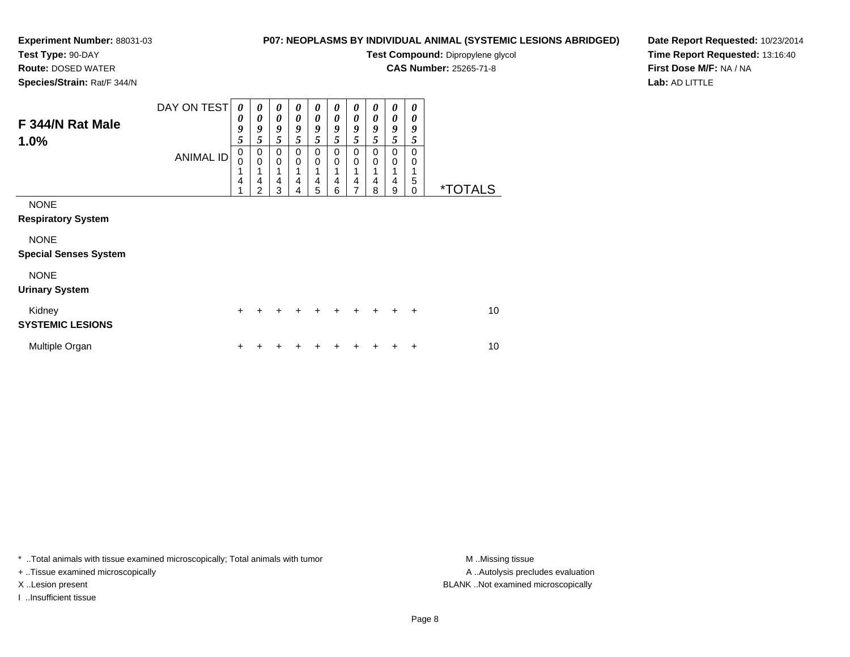## **P07: NEOPLASMS BY INDIVIDUAL ANIMAL (SYSTEMIC LESIONS ABRIDGED)**

**Test Compound:** Dipropylene glycol

**CAS Number:** 25265-71-8

**Date Report Requested:** 10/23/2014**Time Report Requested:** 13:16:40**First Dose M/F:** NA / NA**Lab:** AD LITTLE

| <b>Route:</b> DOSED WATER   |  |
|-----------------------------|--|
| Species/Strain: Rat/F 344/N |  |

| F 344/N Rat Male<br>1.0%          | DAY ON TEST      | 0<br>0<br>9<br>$\overline{\mathbf{5}}$ | 0<br>$\boldsymbol{\theta}$<br>9<br>5       | 0<br>0<br>9<br>$\overline{5}$        | 0<br>0<br>9<br>5      | 0<br>0<br>9<br>5      | 0<br>0<br>9<br>5 | 0<br>$\boldsymbol{\theta}$<br>9<br>5                 | 0<br>0<br>9<br>5                          | 0<br>0<br>9<br>5      | 0<br>0<br>9<br>5      |                       |
|-----------------------------------|------------------|----------------------------------------|--------------------------------------------|--------------------------------------|-----------------------|-----------------------|------------------|------------------------------------------------------|-------------------------------------------|-----------------------|-----------------------|-----------------------|
|                                   | <b>ANIMAL ID</b> | $\mathbf 0$<br>0<br>1<br>4             | 0<br>$\pmb{0}$<br>1<br>4<br>$\mathfrak{p}$ | 0<br>$\boldsymbol{0}$<br>1<br>4<br>3 | 0<br>0<br>1<br>4<br>4 | 0<br>0<br>1<br>4<br>5 | 0<br>0<br>4<br>6 | $\mathbf 0$<br>$\pmb{0}$<br>1<br>$\overline{4}$<br>7 | $\Omega$<br>0<br>1<br>$\overline{4}$<br>8 | 0<br>0<br>1<br>4<br>9 | 0<br>0<br>1<br>5<br>0 | <i><b>*TOTALS</b></i> |
| <b>NONE</b>                       |                  |                                        |                                            |                                      |                       |                       |                  |                                                      |                                           |                       |                       |                       |
| <b>Respiratory System</b>         |                  |                                        |                                            |                                      |                       |                       |                  |                                                      |                                           |                       |                       |                       |
| <b>NONE</b>                       |                  |                                        |                                            |                                      |                       |                       |                  |                                                      |                                           |                       |                       |                       |
| <b>Special Senses System</b>      |                  |                                        |                                            |                                      |                       |                       |                  |                                                      |                                           |                       |                       |                       |
| <b>NONE</b>                       |                  |                                        |                                            |                                      |                       |                       |                  |                                                      |                                           |                       |                       |                       |
| <b>Urinary System</b>             |                  |                                        |                                            |                                      |                       |                       |                  |                                                      |                                           |                       |                       |                       |
| Kidney<br><b>SYSTEMIC LESIONS</b> |                  | $\pm$                                  |                                            |                                      |                       |                       |                  |                                                      |                                           |                       | $\ddot{+}$            | 10                    |
| Multiple Organ                    |                  |                                        |                                            |                                      |                       |                       |                  |                                                      |                                           |                       |                       | 10                    |

\* ..Total animals with tissue examined microscopically; Total animals with tumor **M** . Missing tissue M ..Missing tissue

+ ..Tissue examined microscopically

I ..Insufficient tissue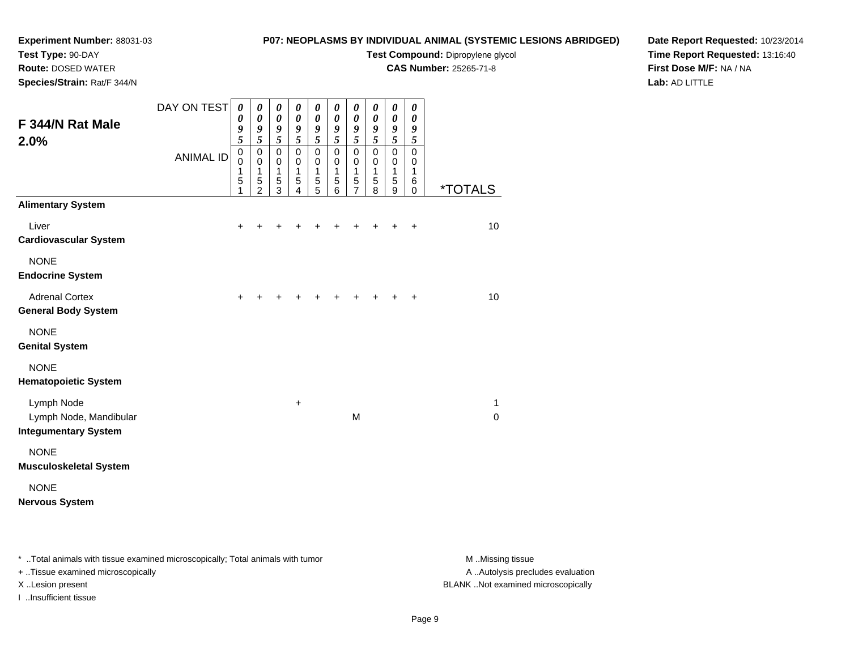# **Test Type:** 90-DAY

**Route:** DOSED WATER

**Species/Strain:** Rat/F 344/N

## **P07: NEOPLASMS BY INDIVIDUAL ANIMAL (SYSTEMIC LESIONS ABRIDGED)**

**Test Compound:** Dipropylene glycol

**CAS Number:** 25265-71-8

**Date Report Requested:** 10/23/2014**Time Report Requested:** 13:16:40**First Dose M/F:** NA / NA**Lab:** AD LITTLE

| F 344/N Rat Male<br>2.0%                                            | DAY ON TEST<br><b>ANIMAL ID</b> | $\boldsymbol{\theta}$<br>$\boldsymbol{\theta}$<br>9<br>5<br>$\mathbf 0$<br>$\mathbf 0$<br>1<br>5<br>1 | 0<br>$\pmb{\theta}$<br>9<br>5<br>$\mathsf 0$<br>$\mathbf 0$<br>1<br>5<br>$\overline{2}$ | 0<br>$\pmb{\theta}$<br>9<br>$\overline{5}$<br>$\mathbf 0$<br>$\pmb{0}$<br>1<br>5<br>3 | 0<br>$\pmb{\theta}$<br>9<br>5<br>$\pmb{0}$<br>$\pmb{0}$<br>1<br>5<br>4 | 0<br>$\boldsymbol{\theta}$<br>9<br>5<br>$\mathbf 0$<br>$\pmb{0}$<br>$\mathbf{1}$<br>5<br>5 | 0<br>$\boldsymbol{\theta}$<br>9<br>$\mathfrak{s}$<br>$\mathbf 0$<br>0<br>$\mathbf{1}$<br>5<br>6 | 0<br>$\boldsymbol{\theta}$<br>9<br>$\sqrt{5}$<br>$\pmb{0}$<br>0<br>1<br>5<br>7 | 0<br>$\pmb{\theta}$<br>9<br>5<br>$\pmb{0}$<br>$\pmb{0}$<br>1<br>5<br>8 | $\boldsymbol{\theta}$<br>$\boldsymbol{\theta}$<br>9<br>5<br>$\mathbf 0$<br>$\mathbf 0$<br>1<br>5<br>9 | 0<br>$\boldsymbol{\theta}$<br>9<br>5<br>$\mathbf 0$<br>0<br>1<br>6<br>0 | *TOTALS       |
|---------------------------------------------------------------------|---------------------------------|-------------------------------------------------------------------------------------------------------|-----------------------------------------------------------------------------------------|---------------------------------------------------------------------------------------|------------------------------------------------------------------------|--------------------------------------------------------------------------------------------|-------------------------------------------------------------------------------------------------|--------------------------------------------------------------------------------|------------------------------------------------------------------------|-------------------------------------------------------------------------------------------------------|-------------------------------------------------------------------------|---------------|
| <b>Alimentary System</b>                                            |                                 |                                                                                                       |                                                                                         |                                                                                       |                                                                        |                                                                                            |                                                                                                 |                                                                                |                                                                        |                                                                                                       |                                                                         |               |
| Liver<br><b>Cardiovascular System</b>                               |                                 | +                                                                                                     |                                                                                         |                                                                                       |                                                                        |                                                                                            |                                                                                                 |                                                                                | +                                                                      | +                                                                                                     | $\ddot{}$                                                               | 10            |
| <b>NONE</b><br><b>Endocrine System</b>                              |                                 |                                                                                                       |                                                                                         |                                                                                       |                                                                        |                                                                                            |                                                                                                 |                                                                                |                                                                        |                                                                                                       |                                                                         |               |
| <b>Adrenal Cortex</b><br><b>General Body System</b>                 |                                 | $\ddot{}$                                                                                             |                                                                                         | +                                                                                     |                                                                        |                                                                                            | $\ddot{}$                                                                                       | $+$                                                                            | $+$                                                                    | $\ddot{}$                                                                                             | $\ddot{}$                                                               | 10            |
| <b>NONE</b><br><b>Genital System</b>                                |                                 |                                                                                                       |                                                                                         |                                                                                       |                                                                        |                                                                                            |                                                                                                 |                                                                                |                                                                        |                                                                                                       |                                                                         |               |
| <b>NONE</b><br><b>Hematopoietic System</b>                          |                                 |                                                                                                       |                                                                                         |                                                                                       |                                                                        |                                                                                            |                                                                                                 |                                                                                |                                                                        |                                                                                                       |                                                                         |               |
| Lymph Node<br>Lymph Node, Mandibular<br><b>Integumentary System</b> |                                 |                                                                                                       |                                                                                         |                                                                                       | $\ddot{}$                                                              |                                                                                            |                                                                                                 | M                                                                              |                                                                        |                                                                                                       |                                                                         | 1<br>$\Omega$ |
| <b>NONE</b><br><b>Musculoskeletal System</b>                        |                                 |                                                                                                       |                                                                                         |                                                                                       |                                                                        |                                                                                            |                                                                                                 |                                                                                |                                                                        |                                                                                                       |                                                                         |               |
| <b>NONE</b><br><b>Nervous System</b>                                |                                 |                                                                                                       |                                                                                         |                                                                                       |                                                                        |                                                                                            |                                                                                                 |                                                                                |                                                                        |                                                                                                       |                                                                         |               |

\* ..Total animals with tissue examined microscopically; Total animals with tumor **M** . Missing tissue M ..Missing tissue

+ ..Tissue examined microscopically

I ..Insufficient tissue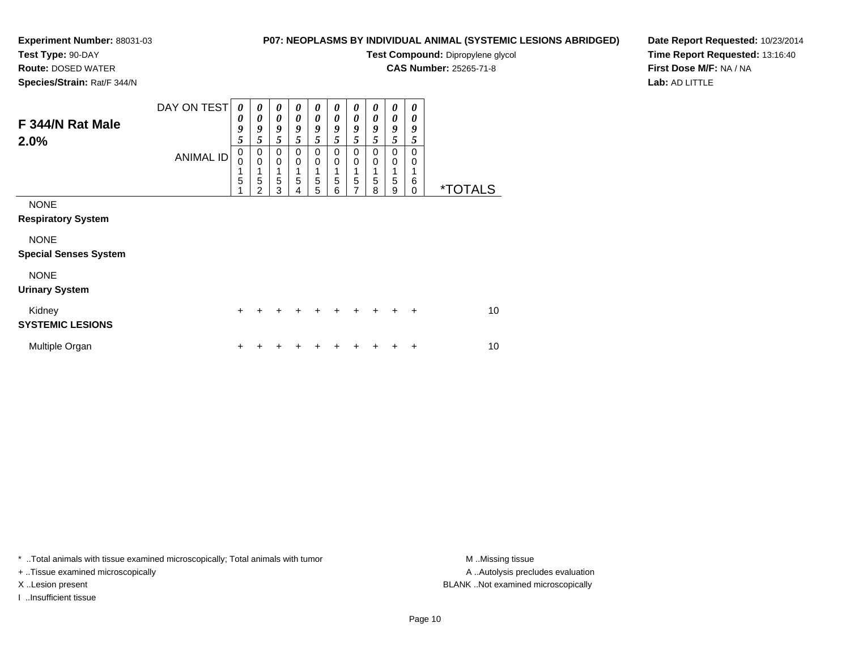#### **P07: NEOPLASMS BY INDIVIDUAL ANIMAL (SYSTEMIC LESIONS ABRIDGED)**

**Test Compound:** Dipropylene glycol

**CAS Number:** 25265-71-8

**Date Report Requested:** 10/23/2014**Time Report Requested:** 13:16:40**First Dose M/F:** NA / NA**Lab:** AD LITTLE

| Species/Strain: Rat/F 344/N |
|-----------------------------|

**Route:** DOSED WATER

|                              | DAY ON TEST      | 0                | 0                          | 0                          | $\boldsymbol{\theta}$   | $\boldsymbol{\theta}$      | 0                       | $\boldsymbol{\theta}$      | 0             | 0                          | 0             |                       |
|------------------------------|------------------|------------------|----------------------------|----------------------------|-------------------------|----------------------------|-------------------------|----------------------------|---------------|----------------------------|---------------|-----------------------|
| F 344/N Rat Male             |                  | 0<br>9           | $\boldsymbol{\theta}$<br>9 | $\boldsymbol{\theta}$<br>9 | 0<br>9                  | $\boldsymbol{\theta}$<br>9 | 0<br>9                  | $\boldsymbol{\theta}$<br>9 | 0<br>9        | $\boldsymbol{\theta}$<br>9 | 0<br>9        |                       |
| 2.0%                         |                  | 5                | 5                          | 5                          | 5                       | 5                          | 5                       | 5                          | 5             | 5                          | 5             |                       |
|                              | <b>ANIMAL ID</b> | 0<br>$\mathbf 0$ | 0<br>$\mathbf 0$           | 0<br>$\mathbf 0$           | $\Omega$<br>$\mathbf 0$ | 0<br>0                     | $\Omega$<br>$\mathbf 0$ | 0<br>$\mathbf 0$           | $\Omega$<br>0 | 0<br>$\mathbf 0$           | $\Omega$<br>0 |                       |
|                              |                  | 1                | 1                          | 1                          |                         | 1                          |                         | 1                          | 1             | 1                          |               |                       |
|                              |                  | 5                | 5<br>$\overline{2}$        | 5<br>3                     | 5<br>4                  | 5<br>5                     | 5<br>6                  | 5<br>$\overline{7}$        | 5<br>8        | 5<br>9                     | 6<br>$\Omega$ | <i><b>*TOTALS</b></i> |
| <b>NONE</b>                  |                  |                  |                            |                            |                         |                            |                         |                            |               |                            |               |                       |
| <b>Respiratory System</b>    |                  |                  |                            |                            |                         |                            |                         |                            |               |                            |               |                       |
| <b>NONE</b>                  |                  |                  |                            |                            |                         |                            |                         |                            |               |                            |               |                       |
| <b>Special Senses System</b> |                  |                  |                            |                            |                         |                            |                         |                            |               |                            |               |                       |
| <b>NONE</b>                  |                  |                  |                            |                            |                         |                            |                         |                            |               |                            |               |                       |
| <b>Urinary System</b>        |                  |                  |                            |                            |                         |                            |                         |                            |               |                            |               |                       |
| Kidney                       |                  | $\ddot{}$        |                            |                            |                         |                            |                         |                            |               |                            | $\ddot{}$     | 10                    |
| <b>SYSTEMIC LESIONS</b>      |                  |                  |                            |                            |                         |                            |                         |                            |               |                            |               |                       |
| Multiple Organ               |                  | +                |                            |                            |                         |                            |                         |                            |               |                            | ٠             | 10                    |
|                              |                  |                  |                            |                            |                         |                            |                         |                            |               |                            |               |                       |

\* ..Total animals with tissue examined microscopically; Total animals with tumor **M** . Missing tissue M ..Missing tissue

+ ..Tissue examined microscopically

I ..Insufficient tissue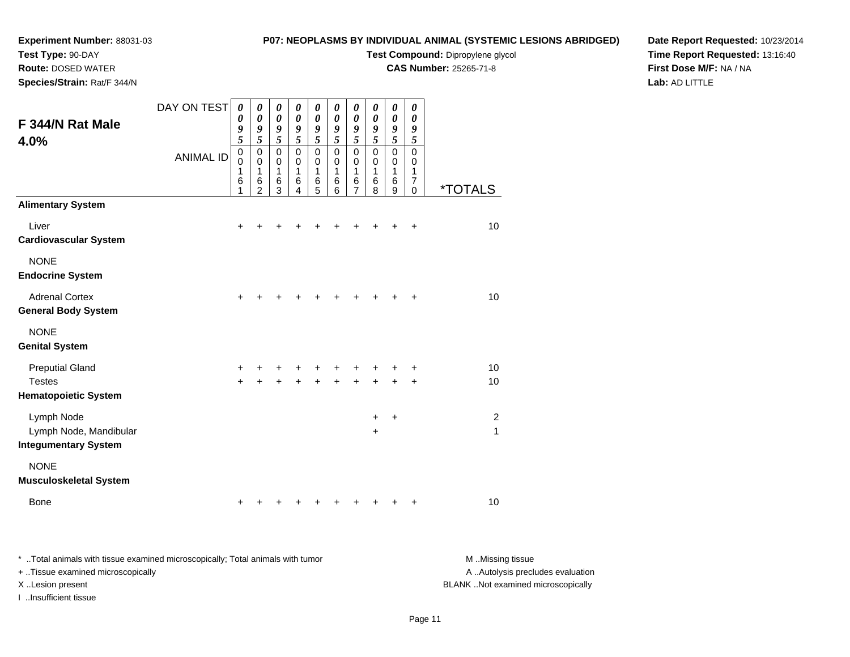# **Test Type:** 90-DAY

**Route:** DOSED WATER

**Species/Strain:** Rat/F 344/N

### **P07: NEOPLASMS BY INDIVIDUAL ANIMAL (SYSTEMIC LESIONS ABRIDGED)**

**Test Compound:** Dipropylene glycol

**CAS Number:** 25265-71-8

**Date Report Requested:** 10/23/2014**Time Report Requested:** 13:16:40**First Dose M/F:** NA / NA**Lab:** AD LITTLE

| F 344/N Rat Male<br>4.0%                                            | DAY ON TEST<br><b>ANIMAL ID</b> | 0<br>0<br>9<br>5<br>$\mathbf 0$<br>$\mathbf 0$<br>1<br>6 | 0<br>$\boldsymbol{\theta}$<br>9<br>5<br>$\mathbf 0$<br>$\mathbf 0$<br>1<br>6 | 0<br>$\boldsymbol{\theta}$<br>9<br>5<br>$\mathbf 0$<br>$\mathbf 0$<br>1<br>$\,6$ | 0<br>$\pmb{\theta}$<br>9<br>5<br>$\mathbf 0$<br>$\mathbf 0$<br>1<br>6 | 0<br>$\boldsymbol{\theta}$<br>9<br>5<br>$\mathbf 0$<br>$\mathbf 0$<br>1<br>$\,6$ | 0<br>$\boldsymbol{\theta}$<br>9<br>5<br>$\Omega$<br>$\Omega$<br>1<br>6 | 0<br>$\boldsymbol{\theta}$<br>9<br>5<br>$\mathbf 0$<br>$\mathbf 0$<br>1<br>6 | 0<br>$\pmb{\theta}$<br>9<br>5<br>$\mathbf 0$<br>$\mathbf 0$<br>$\mathbf{1}$<br>6 | 0<br>$\pmb{\theta}$<br>9<br>$\overline{5}$<br>$\mathsf 0$<br>$\pmb{0}$<br>$\mathbf{1}$<br>6 | 0<br>0<br>9<br>$\sqrt{5}$<br>$\mathbf 0$<br>0<br>1<br>7 |                       |
|---------------------------------------------------------------------|---------------------------------|----------------------------------------------------------|------------------------------------------------------------------------------|----------------------------------------------------------------------------------|-----------------------------------------------------------------------|----------------------------------------------------------------------------------|------------------------------------------------------------------------|------------------------------------------------------------------------------|----------------------------------------------------------------------------------|---------------------------------------------------------------------------------------------|---------------------------------------------------------|-----------------------|
| <b>Alimentary System</b>                                            |                                 | 1                                                        | $\overline{2}$                                                               | 3                                                                                | 4                                                                     | 5                                                                                | 6                                                                      | 7                                                                            | 8                                                                                | $\overline{9}$                                                                              | $\mathbf 0$                                             | <i><b>*TOTALS</b></i> |
| Liver<br><b>Cardiovascular System</b>                               |                                 | $\ddot{}$                                                |                                                                              |                                                                                  |                                                                       |                                                                                  |                                                                        |                                                                              |                                                                                  |                                                                                             | +                                                       | 10                    |
| <b>NONE</b><br><b>Endocrine System</b>                              |                                 |                                                          |                                                                              |                                                                                  |                                                                       |                                                                                  |                                                                        |                                                                              |                                                                                  |                                                                                             |                                                         |                       |
| <b>Adrenal Cortex</b><br><b>General Body System</b>                 |                                 | $\ddot{}$                                                |                                                                              |                                                                                  |                                                                       | ٠                                                                                | +                                                                      | +                                                                            |                                                                                  |                                                                                             | ÷                                                       | 10                    |
| <b>NONE</b><br><b>Genital System</b>                                |                                 |                                                          |                                                                              |                                                                                  |                                                                       |                                                                                  |                                                                        |                                                                              |                                                                                  |                                                                                             |                                                         |                       |
| <b>Preputial Gland</b><br><b>Testes</b>                             |                                 | +<br>$\ddot{}$                                           |                                                                              |                                                                                  |                                                                       | ÷.                                                                               | ÷                                                                      | $\ddot{}$                                                                    | $\ddot{}$                                                                        | $\ddot{}$                                                                                   | +<br>$\ddot{}$                                          | 10<br>10              |
| <b>Hematopoietic System</b>                                         |                                 |                                                          |                                                                              |                                                                                  |                                                                       |                                                                                  |                                                                        |                                                                              |                                                                                  |                                                                                             |                                                         |                       |
| Lymph Node<br>Lymph Node, Mandibular<br><b>Integumentary System</b> |                                 |                                                          |                                                                              |                                                                                  |                                                                       |                                                                                  |                                                                        |                                                                              | $\ddot{}$<br>$\ddot{}$                                                           | $\ddot{}$                                                                                   |                                                         | $\overline{2}$<br>1   |
| <b>NONE</b><br><b>Musculoskeletal System</b>                        |                                 |                                                          |                                                                              |                                                                                  |                                                                       |                                                                                  |                                                                        |                                                                              |                                                                                  |                                                                                             |                                                         |                       |
| Bone                                                                |                                 | +                                                        |                                                                              |                                                                                  |                                                                       | ٠                                                                                | +                                                                      | +                                                                            | +                                                                                | ٠                                                                                           | +                                                       | 10                    |

\* ..Total animals with tissue examined microscopically; Total animals with tumor **M** . Missing tissue M ..Missing tissue A ..Autolysis precludes evaluation + ..Tissue examined microscopically X ..Lesion present BLANK ..Not examined microscopicallyI ..Insufficient tissue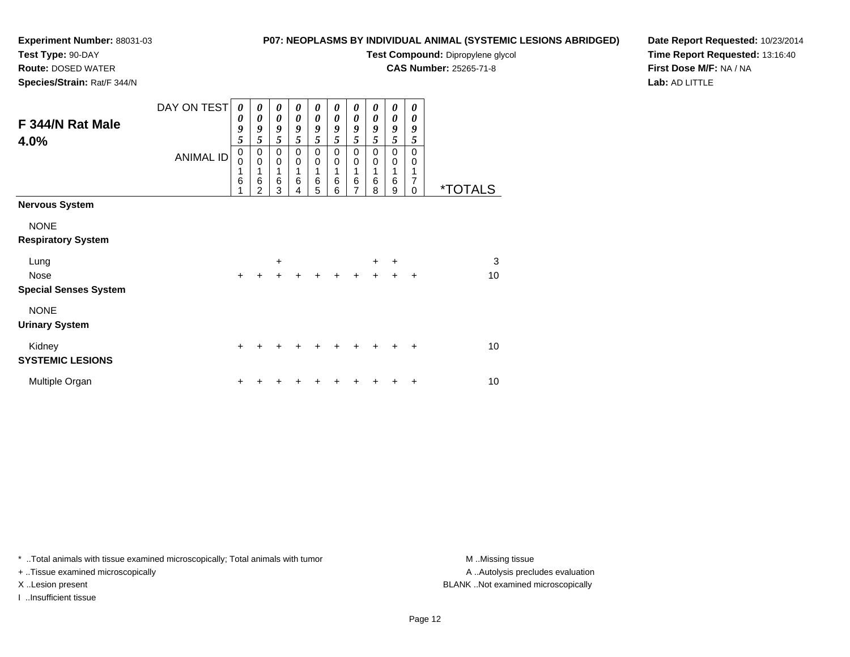**Route:** DOSED WATER**Species/Strain:** Rat/F 344/N

## **P07: NEOPLASMS BY INDIVIDUAL ANIMAL (SYSTEMIC LESIONS ABRIDGED)**

**Test Compound:** Dipropylene glycol

**CAS Number:** 25265-71-8

**Date Report Requested:** 10/23/2014**Time Report Requested:** 13:16:40**First Dose M/F:** NA / NA**Lab:** AD LITTLE

| F 344/N Rat Male<br>4.0%                 | DAY ON TEST<br><b>ANIMAL ID</b> | 0<br>0<br>9<br>5<br>0<br>0 | 0<br>$\boldsymbol{\theta}$<br>9<br>$\overline{5}$<br>$\pmb{0}$<br>$\mathbf 0$ | $\boldsymbol{\theta}$<br>$\pmb{\theta}$<br>9<br>$\overline{5}$<br>0<br>0 | $\boldsymbol{\theta}$<br>$\boldsymbol{\theta}$<br>9<br>5<br>$\mathbf 0$<br>0 | 0<br>$\boldsymbol{\theta}$<br>$\boldsymbol{g}$<br>$\overline{5}$<br>$\mathbf 0$<br>$\pmb{0}$ | 0<br>$\boldsymbol{\theta}$<br>9<br>5<br>0<br>$\mathbf 0$ | 0<br>$\boldsymbol{\theta}$<br>9<br>$\overline{\mathbf{5}}$<br>$\mathbf 0$<br>$\pmb{0}$ | $\boldsymbol{\theta}$<br>$\boldsymbol{\theta}$<br>9<br>$\overline{5}$<br>$\mathbf 0$<br>$\mathbf 0$ | $\boldsymbol{\theta}$<br>$\boldsymbol{\theta}$<br>9<br>$\overline{5}$<br>$\pmb{0}$<br>$\pmb{0}$ | 0<br>0<br>9<br>5<br>$\Omega$<br>0 |                       |
|------------------------------------------|---------------------------------|----------------------------|-------------------------------------------------------------------------------|--------------------------------------------------------------------------|------------------------------------------------------------------------------|----------------------------------------------------------------------------------------------|----------------------------------------------------------|----------------------------------------------------------------------------------------|-----------------------------------------------------------------------------------------------------|-------------------------------------------------------------------------------------------------|-----------------------------------|-----------------------|
|                                          |                                 | 1<br>6<br>1                | 1<br>$6\phantom{1}6$<br>$\overline{2}$                                        | 1<br>6<br>3                                                              | 1<br>6<br>4                                                                  | 1<br>$\,6$<br>5                                                                              | 1<br>6<br>6                                              | 1<br>$6\phantom{1}6$<br>$\overline{7}$                                                 | 1<br>$6\phantom{1}6$<br>8                                                                           | 1<br>$\,6\,$<br>$\overline{9}$                                                                  | $\overline{7}$<br>$\Omega$        | <i><b>*TOTALS</b></i> |
| <b>Nervous System</b>                    |                                 |                            |                                                                               |                                                                          |                                                                              |                                                                                              |                                                          |                                                                                        |                                                                                                     |                                                                                                 |                                   |                       |
| <b>NONE</b><br><b>Respiratory System</b> |                                 |                            |                                                                               |                                                                          |                                                                              |                                                                                              |                                                          |                                                                                        |                                                                                                     |                                                                                                 |                                   |                       |
| Lung<br><b>Nose</b>                      |                                 | $+$                        | ÷                                                                             | $\ddot{}$<br>$\ddot{}$                                                   |                                                                              | $\div$                                                                                       | ÷                                                        | ÷                                                                                      | $\ddot{}$<br>÷                                                                                      | $\ddot{}$<br>$\ddot{}$                                                                          | $\ddot{}$                         | 3<br>10               |
| <b>Special Senses System</b>             |                                 |                            |                                                                               |                                                                          |                                                                              |                                                                                              |                                                          |                                                                                        |                                                                                                     |                                                                                                 |                                   |                       |
| <b>NONE</b><br><b>Urinary System</b>     |                                 |                            |                                                                               |                                                                          |                                                                              |                                                                                              |                                                          |                                                                                        |                                                                                                     |                                                                                                 |                                   |                       |
| Kidney<br><b>SYSTEMIC LESIONS</b>        |                                 | $\ddot{}$                  |                                                                               |                                                                          |                                                                              |                                                                                              |                                                          |                                                                                        |                                                                                                     |                                                                                                 |                                   | 10                    |
| Multiple Organ                           |                                 | ÷                          |                                                                               |                                                                          |                                                                              |                                                                                              |                                                          |                                                                                        |                                                                                                     |                                                                                                 | ٠                                 | 10                    |

\* ..Total animals with tissue examined microscopically; Total animals with tumor **M** . Missing tissue M ..Missing tissue

+ ..Tissue examined microscopically

I ..Insufficient tissue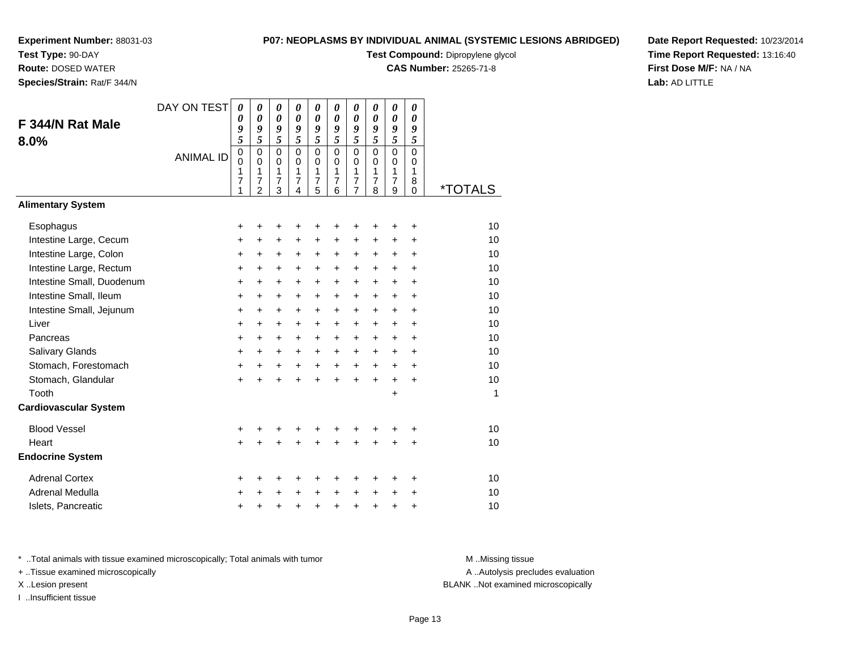**Test Type:** 90-DAY

**Route:** DOSED WATER

**Species/Strain:** Rat/F 344/N

### **P07: NEOPLASMS BY INDIVIDUAL ANIMAL (SYSTEMIC LESIONS ABRIDGED)**

**Test Compound:** Dipropylene glycol

**CAS Number:** 25265-71-8

**Date Report Requested:** 10/23/2014**Time Report Requested:** 13:16:40**First Dose M/F:** NA / NA**Lab:** AD LITTLE

| F 344/N Rat Male<br>8.0%<br><b>Alimentary System</b> | DAY ON TEST<br><b>ANIMAL ID</b> | 0<br>0<br>9<br>$\overline{\mathbf{5}}$<br>$\overline{0}$<br>0<br>1<br>$\overline{7}$<br>1 | 0<br>$\boldsymbol{\theta}$<br>9<br>$\overline{5}$<br>$\mathbf 0$<br>$\mathbf 0$<br>1<br>7<br>$\overline{2}$ | 0<br>$\boldsymbol{\theta}$<br>9<br>$\overline{5}$<br>$\mathbf 0$<br>$\pmb{0}$<br>1<br>7<br>3 | 0<br>$\boldsymbol{\theta}$<br>9<br>$\overline{5}$<br>$\Omega$<br>$\mathbf 0$<br>$\mathbf{1}$<br>$\overline{7}$<br>$\overline{4}$ | 0<br>0<br>9<br>5<br>$\mathbf 0$<br>0<br>1<br>$\overline{7}$<br>5 | 0<br>$\boldsymbol{\theta}$<br>9<br>5<br>$\Omega$<br>$\mathbf 0$<br>1<br>$\overline{7}$<br>6 | 0<br>$\boldsymbol{\theta}$<br>9<br>5<br>$\mathbf 0$<br>0<br>1<br>$\overline{7}$<br>$\overline{7}$ | 0<br>0<br>9<br>5<br>$\mathbf 0$<br>$\mathbf 0$<br>1<br>$\overline{7}$<br>8 | 0<br>$\boldsymbol{\theta}$<br>9<br>5<br>$\overline{0}$<br>0<br>1<br>$\overline{7}$<br>9 | 0<br>0<br>9<br>5<br>$\mathbf 0$<br>0<br>$\mathbf{1}$<br>8<br>0 | <i><b>*TOTALS</b></i> |
|------------------------------------------------------|---------------------------------|-------------------------------------------------------------------------------------------|-------------------------------------------------------------------------------------------------------------|----------------------------------------------------------------------------------------------|----------------------------------------------------------------------------------------------------------------------------------|------------------------------------------------------------------|---------------------------------------------------------------------------------------------|---------------------------------------------------------------------------------------------------|----------------------------------------------------------------------------|-----------------------------------------------------------------------------------------|----------------------------------------------------------------|-----------------------|
|                                                      |                                 |                                                                                           |                                                                                                             |                                                                                              |                                                                                                                                  |                                                                  |                                                                                             |                                                                                                   |                                                                            |                                                                                         |                                                                |                       |
| Esophagus                                            |                                 | +                                                                                         | +                                                                                                           | +                                                                                            | +                                                                                                                                | +                                                                | +                                                                                           | +                                                                                                 | +                                                                          | +                                                                                       | +                                                              | 10                    |
| Intestine Large, Cecum                               |                                 | +                                                                                         | $\ddot{}$                                                                                                   | $\ddot{}$                                                                                    | $\ddot{}$                                                                                                                        | +                                                                | +                                                                                           | $\ddot{}$                                                                                         | +                                                                          | $\ddot{}$                                                                               | $\ddot{}$                                                      | 10                    |
| Intestine Large, Colon                               |                                 | $\ddot{}$                                                                                 | +                                                                                                           | $\ddot{}$                                                                                    | $+$                                                                                                                              | $+$                                                              | $\ddot{}$                                                                                   | $\ddot{}$                                                                                         | $\ddot{}$                                                                  | $\ddot{}$                                                                               | $\ddot{}$                                                      | 10                    |
| Intestine Large, Rectum                              |                                 | $\ddot{}$                                                                                 | +                                                                                                           | $\ddot{}$                                                                                    | $\ddot{}$                                                                                                                        | $\ddot{}$                                                        | $\ddot{}$                                                                                   | $\ddot{}$                                                                                         | $\ddot{}$                                                                  | $\ddot{}$                                                                               | $\ddot{}$                                                      | 10                    |
| Intestine Small, Duodenum                            |                                 | +                                                                                         | +                                                                                                           | $\ddot{}$                                                                                    | +                                                                                                                                | +                                                                | +                                                                                           | $\ddot{}$                                                                                         | +                                                                          | +                                                                                       | +                                                              | 10                    |
| Intestine Small, Ileum                               |                                 | +                                                                                         | $\ddot{}$                                                                                                   | $\ddot{}$                                                                                    | $\ddot{}$                                                                                                                        | +                                                                | +                                                                                           | $\ddot{}$                                                                                         | $\ddot{}$                                                                  | $\ddot{}$                                                                               | $\ddot{}$                                                      | 10                    |
| Intestine Small, Jejunum                             |                                 | +                                                                                         | +                                                                                                           | $\ddot{}$                                                                                    | $\ddot{}$                                                                                                                        | $\ddot{}$                                                        | $\ddot{}$                                                                                   | $\ddot{}$                                                                                         | $\ddot{}$                                                                  | $\ddot{}$                                                                               | $\ddot{}$                                                      | 10                    |
| Liver                                                |                                 | +                                                                                         | $\ddot{}$                                                                                                   | $\ddot{}$                                                                                    | $\ddot{}$                                                                                                                        | $\ddot{}$                                                        | $\ddot{}$                                                                                   | $\ddot{}$                                                                                         | $\ddot{}$                                                                  | $\ddot{}$                                                                               | $\ddot{}$                                                      | 10                    |
| Pancreas                                             |                                 | +                                                                                         | +                                                                                                           | $\ddot{}$                                                                                    | +                                                                                                                                | +                                                                | +                                                                                           | +                                                                                                 | +                                                                          | +                                                                                       | +                                                              | 10                    |
| Salivary Glands                                      |                                 | $\ddot{}$                                                                                 | $\ddot{}$                                                                                                   | $\ddot{}$                                                                                    | $\ddot{}$                                                                                                                        | $\ddot{}$                                                        | $\ddot{}$                                                                                   | $\ddot{}$                                                                                         | $\ddot{}$                                                                  | $\ddot{}$                                                                               | $\ddot{}$                                                      | 10                    |
| Stomach, Forestomach                                 |                                 | $\ddot{}$                                                                                 | $\ddot{}$                                                                                                   | $\ddot{}$                                                                                    | $+$                                                                                                                              | $+$                                                              | $\ddot{}$                                                                                   | $\ddot{}$                                                                                         | $+$                                                                        | $+$                                                                                     | $\ddot{}$                                                      | 10                    |
| Stomach, Glandular                                   |                                 | $\ddot{}$                                                                                 | ÷                                                                                                           | $\ddot{}$                                                                                    | ÷                                                                                                                                | $\ddot{}$                                                        | $\ddot{}$                                                                                   | $\ddot{}$                                                                                         | $\ddot{}$                                                                  | $\ddot{}$                                                                               | $\ddot{}$                                                      | 10                    |
| Tooth                                                |                                 |                                                                                           |                                                                                                             |                                                                                              |                                                                                                                                  |                                                                  |                                                                                             |                                                                                                   |                                                                            | +                                                                                       |                                                                | 1                     |
| <b>Cardiovascular System</b>                         |                                 |                                                                                           |                                                                                                             |                                                                                              |                                                                                                                                  |                                                                  |                                                                                             |                                                                                                   |                                                                            |                                                                                         |                                                                |                       |
| <b>Blood Vessel</b>                                  |                                 | +                                                                                         |                                                                                                             |                                                                                              |                                                                                                                                  | +                                                                |                                                                                             | +                                                                                                 |                                                                            | +                                                                                       | +                                                              | 10                    |
| Heart                                                |                                 | $\ddot{}$                                                                                 |                                                                                                             |                                                                                              |                                                                                                                                  | +                                                                | +                                                                                           | $\ddot{}$                                                                                         |                                                                            | +                                                                                       | $\ddot{}$                                                      | 10                    |
| <b>Endocrine System</b>                              |                                 |                                                                                           |                                                                                                             |                                                                                              |                                                                                                                                  |                                                                  |                                                                                             |                                                                                                   |                                                                            |                                                                                         |                                                                |                       |
| <b>Adrenal Cortex</b>                                |                                 | +                                                                                         | +                                                                                                           | +                                                                                            | +                                                                                                                                | +                                                                | +                                                                                           | +                                                                                                 | ٠                                                                          | ٠                                                                                       | ٠                                                              | 10                    |
| Adrenal Medulla                                      |                                 | +                                                                                         |                                                                                                             |                                                                                              |                                                                                                                                  | $\ddot{}$                                                        | $\ddot{}$                                                                                   | $\ddot{}$                                                                                         | $\ddot{}$                                                                  | +                                                                                       | +                                                              | 10                    |
| Islets, Pancreatic                                   |                                 | +                                                                                         | +                                                                                                           | +                                                                                            | +                                                                                                                                | $\ddot{}$                                                        | $\ddot{}$                                                                                   | $\ddot{}$                                                                                         | $\ddot{}$                                                                  | +                                                                                       | +                                                              | 10                    |

\* ..Total animals with tissue examined microscopically; Total animals with tumor **M** . Missing tissue M ..Missing tissue

+ ..Tissue examined microscopically

I ..Insufficient tissue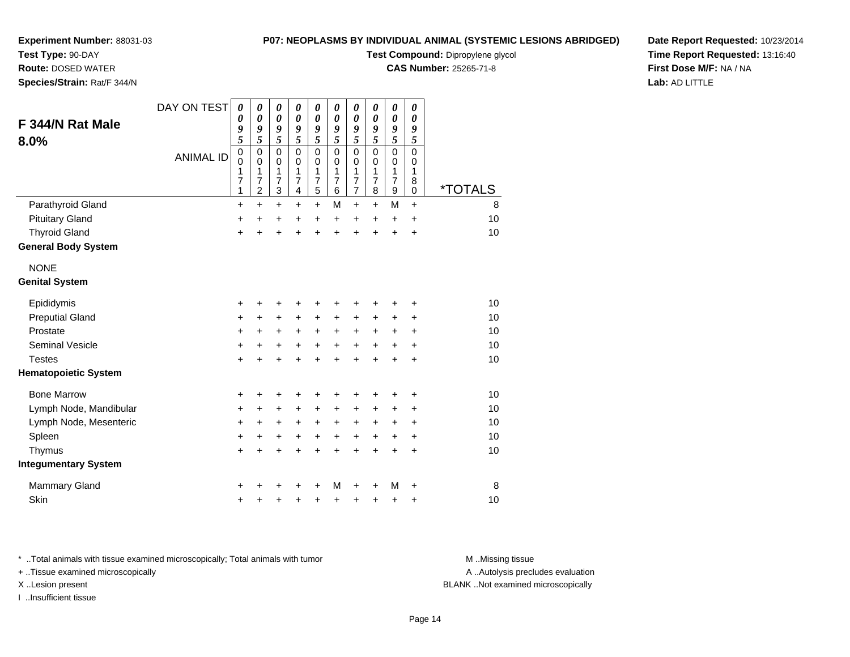**Test Type:** 90-DAY

**Route:** DOSED WATER

**Species/Strain:** Rat/F 344/N

#### **P07: NEOPLASMS BY INDIVIDUAL ANIMAL (SYSTEMIC LESIONS ABRIDGED)**

**Test Compound:** Dipropylene glycol

**CAS Number:** 25265-71-8

**Date Report Requested:** 10/23/2014**Time Report Requested:** 13:16:40**First Dose M/F:** NA / NA**Lab:** AD LITTLE

| F 344/N Rat Male            | DAY ON TEST      | 0<br>0                             | 0<br>$\boldsymbol{\theta}$                                          | 0<br>$\boldsymbol{\theta}$                                     | 0<br>$\boldsymbol{\theta}$                | 0<br>$\boldsymbol{\theta}$                                | 0<br>0                                              | 0<br>$\boldsymbol{\theta}$                                | 0<br>0                                    | $\pmb{\theta}$<br>0                                                   | 0<br>0                          |                       |
|-----------------------------|------------------|------------------------------------|---------------------------------------------------------------------|----------------------------------------------------------------|-------------------------------------------|-----------------------------------------------------------|-----------------------------------------------------|-----------------------------------------------------------|-------------------------------------------|-----------------------------------------------------------------------|---------------------------------|-----------------------|
| 8.0%                        |                  | 9<br>5                             | 9<br>5                                                              | 9<br>5                                                         | 9<br>5                                    | 9<br>5                                                    | 9<br>5                                              | 9<br>5                                                    | 9<br>5                                    | 9<br>5                                                                | 9<br>5                          |                       |
|                             | <b>ANIMAL ID</b> | 0<br>0<br>1<br>$\overline{7}$<br>1 | $\mathbf 0$<br>$\mathbf 0$<br>1<br>$\overline{7}$<br>$\overline{2}$ | $\Omega$<br>$\mathbf 0$<br>1<br>$\overline{7}$<br>$\mathbf{3}$ | $\Omega$<br>0<br>1<br>$\overline{7}$<br>4 | $\overline{0}$<br>$\mathbf 0$<br>1<br>$\overline{7}$<br>5 | $\Omega$<br>$\mathbf 0$<br>1<br>$\overline{7}$<br>6 | $\mathbf 0$<br>0<br>1<br>$\overline{7}$<br>$\overline{7}$ | $\Omega$<br>0<br>1<br>$\overline{7}$<br>8 | $\mathbf 0$<br>$\mathbf 0$<br>1<br>$\overline{7}$<br>$\boldsymbol{9}$ | $\mathbf 0$<br>0<br>1<br>8<br>0 | <i><b>*TOTALS</b></i> |
| Parathyroid Gland           |                  | +                                  | $\ddot{}$                                                           | $\ddot{}$                                                      | $\ddot{}$                                 | $\ddot{}$                                                 | M                                                   | $\ddot{}$                                                 | $\ddot{}$                                 | M                                                                     | $\ddot{}$                       | 8                     |
| <b>Pituitary Gland</b>      |                  | $\ddot{}$                          | $\ddot{}$                                                           | +                                                              | +                                         | $\ddot{}$                                                 | $\ddot{}$                                           | +                                                         | $\ddot{}$                                 | +                                                                     | $\ddot{}$                       | 10                    |
| <b>Thyroid Gland</b>        |                  | $\ddot{}$                          | $\ddot{}$                                                           | $\ddot{}$                                                      | $\ddot{}$                                 | $\ddot{}$                                                 | $\ddot{}$                                           | $\ddot{}$                                                 | $\ddot{}$                                 | +                                                                     | +                               | 10                    |
| <b>General Body System</b>  |                  |                                    |                                                                     |                                                                |                                           |                                                           |                                                     |                                                           |                                           |                                                                       |                                 |                       |
| <b>NONE</b>                 |                  |                                    |                                                                     |                                                                |                                           |                                                           |                                                     |                                                           |                                           |                                                                       |                                 |                       |
| <b>Genital System</b>       |                  |                                    |                                                                     |                                                                |                                           |                                                           |                                                     |                                                           |                                           |                                                                       |                                 |                       |
| Epididymis                  |                  | +                                  | +                                                                   | +                                                              | +                                         | +                                                         | +                                                   | +                                                         | +                                         | +                                                                     | +                               | 10                    |
| <b>Preputial Gland</b>      |                  | $\ddot{}$                          | +                                                                   | $\ddot{}$                                                      | +                                         | +                                                         | $\ddot{}$                                           | +                                                         | +                                         | +                                                                     | +                               | 10                    |
| Prostate                    |                  | $\ddot{}$                          | +                                                                   | $\ddot{}$                                                      | $\ddot{}$                                 | $\ddot{}$                                                 | $\ddot{}$                                           | $\ddot{}$                                                 | $\ddot{}$                                 | +                                                                     | $\ddot{}$                       | 10                    |
| <b>Seminal Vesicle</b>      |                  | +                                  | $\pmb{+}$                                                           | $\ddot{}$                                                      | $\ddot{}$                                 | $\ddot{}$                                                 | $\ddot{}$                                           | $\ddot{}$                                                 | +                                         | $\ddot{}$                                                             | $\ddot{}$                       | 10                    |
| <b>Testes</b>               |                  | $\ddot{}$                          | $\ddot{}$                                                           | $\ddot{}$                                                      | $\ddot{}$                                 | $\ddot{}$                                                 | $\ddot{}$                                           | $\ddot{}$                                                 | $\ddot{}$                                 | $\ddot{}$                                                             | $\ddot{}$                       | 10                    |
| <b>Hematopoietic System</b> |                  |                                    |                                                                     |                                                                |                                           |                                                           |                                                     |                                                           |                                           |                                                                       |                                 |                       |
| <b>Bone Marrow</b>          |                  | +                                  | +                                                                   | +                                                              | +                                         | +                                                         | +                                                   | +                                                         | +                                         | +                                                                     | +                               | 10                    |
| Lymph Node, Mandibular      |                  | +                                  | +                                                                   | +                                                              | +                                         | +                                                         | $\ddot{}$                                           | +                                                         | $\ddot{}$                                 | +                                                                     | +                               | 10                    |
| Lymph Node, Mesenteric      |                  | +                                  | +                                                                   | +                                                              | +                                         | $\ddot{}$                                                 | $\ddot{}$                                           | $\ddot{}$                                                 | +                                         | +                                                                     | $\ddot{}$                       | 10                    |
| Spleen                      |                  | $\ddot{}$                          | $\ddot{}$                                                           | +                                                              | $\ddot{}$                                 | $\ddot{}$                                                 | $\ddot{}$                                           | $\ddot{}$                                                 | $\ddot{}$                                 | $\ddot{}$                                                             | $\ddot{}$                       | 10                    |
| Thymus                      |                  | $\ddot{}$                          | +                                                                   | +                                                              |                                           | +                                                         | $\ddot{}$                                           | $\ddot{}$                                                 | $\ddot{}$                                 | $\ddot{}$                                                             | $\ddot{}$                       | 10                    |
| <b>Integumentary System</b> |                  |                                    |                                                                     |                                                                |                                           |                                                           |                                                     |                                                           |                                           |                                                                       |                                 |                       |
| <b>Mammary Gland</b>        |                  | ٠                                  |                                                                     |                                                                |                                           | ٠                                                         | M                                                   | +                                                         | +                                         | M                                                                     | +                               | 8                     |
| Skin                        |                  | +                                  | +                                                                   | +                                                              | +                                         | +                                                         | $\ddot{}$                                           | +                                                         | +                                         | +                                                                     | +                               | 10                    |

\* ..Total animals with tissue examined microscopically; Total animals with tumor **M** . Missing tissue M ..Missing tissue

+ ..Tissue examined microscopically

I ..Insufficient tissue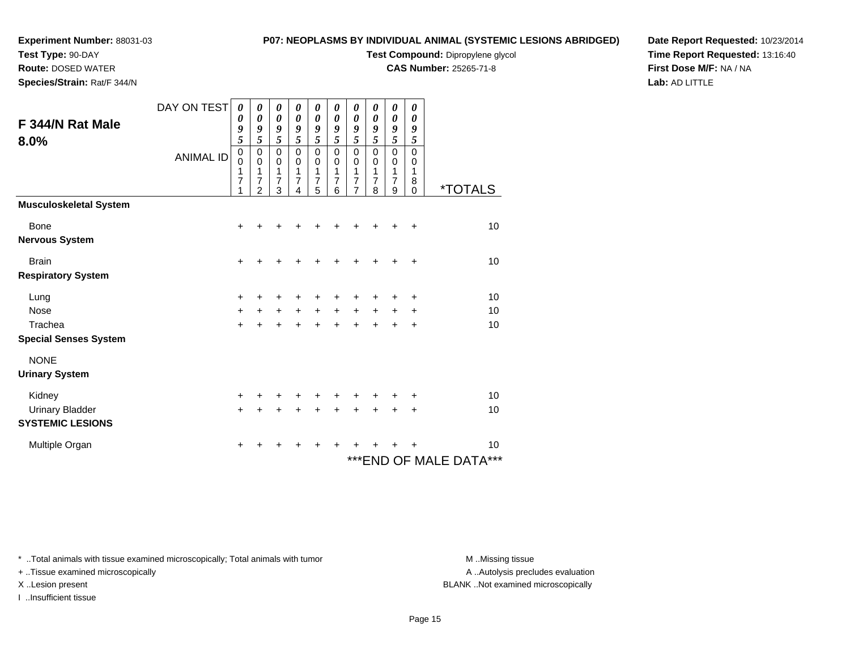## **Test Type:** 90-DAY

**Route:** DOSED WATER

**Species/Strain:** Rat/F 344/N

### **P07: NEOPLASMS BY INDIVIDUAL ANIMAL (SYSTEMIC LESIONS ABRIDGED)**

**Test Compound:** Dipropylene glycol

**CAS Number:** 25265-71-8

**Date Report Requested:** 10/23/2014**Time Report Requested:** 13:16:40**First Dose M/F:** NA / NA**Lab:** AD LITTLE

| F 344/N Rat Male<br>8.0%                  | DAY ON TEST<br><b>ANIMAL ID</b> | 0<br>0<br>9<br>5<br>$\mathsf 0$<br>$\mathbf 0$<br>1<br>7<br>1 | 0<br>$\boldsymbol{\theta}$<br>9<br>5<br>$\pmb{0}$<br>$\mathbf 0$<br>1<br>$\overline{7}$<br>$\overline{2}$ | 0<br>$\boldsymbol{\theta}$<br>9<br>5<br>$\mathbf 0$<br>$\mathbf 0$<br>1<br>7<br>3 | 0<br>$\boldsymbol{\theta}$<br>9<br>5<br>$\mathbf 0$<br>0<br>1<br>7<br>4 | 0<br>$\boldsymbol{\theta}$<br>9<br>$\overline{5}$<br>0<br>0<br>1<br>7<br>5 | 0<br>$\boldsymbol{\theta}$<br>9<br>5<br>0<br>0<br>1<br>7<br>6 | 0<br>$\boldsymbol{\theta}$<br>9<br>$\overline{5}$<br>$\pmb{0}$<br>$\pmb{0}$<br>1<br>7<br>7 | 0<br>$\boldsymbol{\theta}$<br>9<br>5<br>$\mathbf 0$<br>$\mathbf 0$<br>1<br>$\overline{7}$<br>8 | 0<br>0<br>9<br>5<br>$\mathbf 0$<br>$\mathbf 0$<br>1<br>$\overline{7}$<br>9 | 0<br>$\boldsymbol{\theta}$<br>9<br>5<br>$\mathsf 0$<br>0<br>1<br>8<br>$\Omega$ | <i><b>*TOTALS</b></i>        |
|-------------------------------------------|---------------------------------|---------------------------------------------------------------|-----------------------------------------------------------------------------------------------------------|-----------------------------------------------------------------------------------|-------------------------------------------------------------------------|----------------------------------------------------------------------------|---------------------------------------------------------------|--------------------------------------------------------------------------------------------|------------------------------------------------------------------------------------------------|----------------------------------------------------------------------------|--------------------------------------------------------------------------------|------------------------------|
| <b>Musculoskeletal System</b>             |                                 |                                                               |                                                                                                           |                                                                                   |                                                                         |                                                                            |                                                               |                                                                                            |                                                                                                |                                                                            |                                                                                |                              |
| <b>Bone</b>                               |                                 | +                                                             | +                                                                                                         | +                                                                                 | +                                                                       |                                                                            | +                                                             | +                                                                                          | ٠                                                                                              | +                                                                          | ÷                                                                              | 10                           |
| <b>Nervous System</b>                     |                                 |                                                               |                                                                                                           |                                                                                   |                                                                         |                                                                            |                                                               |                                                                                            |                                                                                                |                                                                            |                                                                                |                              |
| <b>Brain</b><br><b>Respiratory System</b> |                                 | $\ddot{}$                                                     |                                                                                                           | +                                                                                 |                                                                         |                                                                            |                                                               |                                                                                            |                                                                                                |                                                                            | +                                                                              | 10                           |
| Lung                                      |                                 | $\ddot{}$                                                     | +                                                                                                         | +                                                                                 |                                                                         |                                                                            |                                                               |                                                                                            |                                                                                                |                                                                            | ٠                                                                              | 10                           |
| <b>Nose</b>                               |                                 | $\ddot{}$                                                     | $\ddot{}$                                                                                                 | $\ddot{}$                                                                         | $\ddot{}$                                                               | $\ddot{}$                                                                  | $\ddot{}$                                                     | $\ddot{}$                                                                                  | $\ddot{}$                                                                                      |                                                                            | +                                                                              | 10                           |
| Trachea                                   |                                 | $\ddot{}$                                                     | $\ddot{}$                                                                                                 | $\ddot{}$                                                                         | $\ddot{}$                                                               | $\ddot{}$                                                                  | $\ddot{}$                                                     | $\ddot{}$                                                                                  | $\ddot{}$                                                                                      | +                                                                          | $\ddot{}$                                                                      | 10                           |
| <b>Special Senses System</b>              |                                 |                                                               |                                                                                                           |                                                                                   |                                                                         |                                                                            |                                                               |                                                                                            |                                                                                                |                                                                            |                                                                                |                              |
| <b>NONE</b>                               |                                 |                                                               |                                                                                                           |                                                                                   |                                                                         |                                                                            |                                                               |                                                                                            |                                                                                                |                                                                            |                                                                                |                              |
| <b>Urinary System</b>                     |                                 |                                                               |                                                                                                           |                                                                                   |                                                                         |                                                                            |                                                               |                                                                                            |                                                                                                |                                                                            |                                                                                |                              |
| Kidney                                    |                                 | +                                                             | +                                                                                                         |                                                                                   |                                                                         |                                                                            |                                                               |                                                                                            |                                                                                                |                                                                            | +                                                                              | 10                           |
| <b>Urinary Bladder</b>                    |                                 | $\ddot{}$                                                     | +                                                                                                         | +                                                                                 |                                                                         | +                                                                          | +                                                             | +                                                                                          |                                                                                                |                                                                            | ٠                                                                              | 10                           |
| <b>SYSTEMIC LESIONS</b>                   |                                 |                                                               |                                                                                                           |                                                                                   |                                                                         |                                                                            |                                                               |                                                                                            |                                                                                                |                                                                            |                                                                                |                              |
| Multiple Organ                            |                                 | +                                                             | +                                                                                                         | +                                                                                 |                                                                         | ٠                                                                          | ٠                                                             |                                                                                            |                                                                                                |                                                                            |                                                                                | 10                           |
|                                           |                                 |                                                               |                                                                                                           |                                                                                   |                                                                         |                                                                            |                                                               |                                                                                            |                                                                                                |                                                                            |                                                                                | ***<br>*** END OF MALE DATA® |

\* ..Total animals with tissue examined microscopically; Total animals with tumor **M** . Missing tissue M ..Missing tissue

+ ..Tissue examined microscopically

I ..Insufficient tissue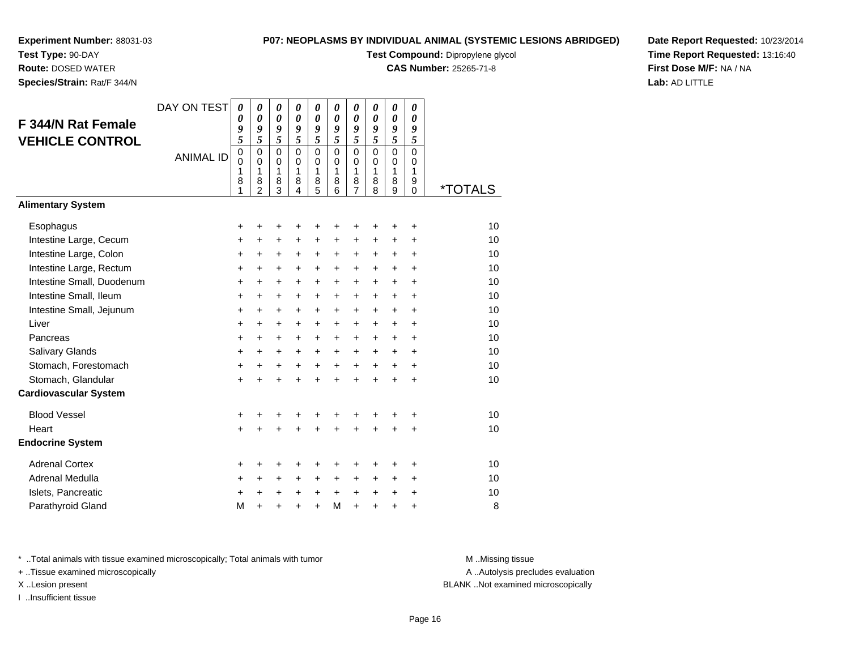**Test Type:** 90-DAY**Route:** DOSED WATER

## **P07: NEOPLASMS BY INDIVIDUAL ANIMAL (SYSTEMIC LESIONS ABRIDGED)**

**Test Compound:** Dipropylene glycol

**CAS Number:** 25265-71-8

**Date Report Requested:** 10/23/2014**Time Report Requested:** 13:16:40**First Dose M/F:** NA / NA**Lab:** AD LITTLE

| Species/Strain: Rat/F 344/N  |                  |                                      |                                                |                                                     |                                   |                                          |                                                     |                                                       |                                             |                                                     |                                                    |                       |
|------------------------------|------------------|--------------------------------------|------------------------------------------------|-----------------------------------------------------|-----------------------------------|------------------------------------------|-----------------------------------------------------|-------------------------------------------------------|---------------------------------------------|-----------------------------------------------------|----------------------------------------------------|-----------------------|
| F 344/N Rat Female           | DAY ON TEST      | 0<br>0<br>9                          | 0<br>$\theta$<br>9                             | $\boldsymbol{\theta}$<br>$\boldsymbol{\theta}$<br>9 | 0<br>0<br>9                       | 0<br>$\boldsymbol{\theta}$<br>9          | $\boldsymbol{\theta}$<br>$\boldsymbol{\theta}$<br>9 | $\boldsymbol{\theta}$<br>$\boldsymbol{\theta}$<br>9   | 0<br>$\boldsymbol{\theta}$<br>9             | $\boldsymbol{\theta}$<br>$\boldsymbol{\theta}$<br>9 | 0<br>$\boldsymbol{\theta}$<br>9                    |                       |
| <b>VEHICLE CONTROL</b>       | <b>ANIMAL ID</b> | 5<br>$\mathbf 0$<br>0<br>1<br>8<br>1 | 5<br>0<br>$\Omega$<br>1<br>8<br>$\overline{2}$ | 5<br>$\Omega$<br>$\Omega$<br>1<br>8<br>3            | 5<br>0<br>$\Omega$<br>1<br>8<br>4 | 5<br>$\Omega$<br>$\Omega$<br>1<br>8<br>5 | 5<br>$\Omega$<br>$\Omega$<br>1<br>8<br>6            | 5<br>$\Omega$<br>$\Omega$<br>1<br>8<br>$\overline{7}$ | 5<br>$\mathbf 0$<br>$\Omega$<br>1<br>8<br>8 | 5<br>$\Omega$<br>$\Omega$<br>$\mathbf{1}$<br>8<br>9 | 5<br>$\mathbf 0$<br>$\Omega$<br>1<br>9<br>$\Omega$ | <i><b>*TOTALS</b></i> |
| <b>Alimentary System</b>     |                  |                                      |                                                |                                                     |                                   |                                          |                                                     |                                                       |                                             |                                                     |                                                    |                       |
| Esophagus                    |                  | +                                    | +                                              | +                                                   | +                                 | +                                        | +                                                   | +                                                     | +                                           | +                                                   | +                                                  | 10                    |
| Intestine Large, Cecum       |                  | +                                    | $\pm$                                          | ÷                                                   | ٠                                 | +                                        | +                                                   | $\ddot{}$                                             | $\pm$                                       | $\ddot{}$                                           | +                                                  | 10                    |
| Intestine Large, Colon       |                  | +                                    | $\ddot{}$                                      | +                                                   | +                                 | +                                        | +                                                   | +                                                     | +                                           | +                                                   | $\ddot{}$                                          | 10                    |
| Intestine Large, Rectum      |                  | +                                    | $\ddot{}$                                      | $\ddot{}$                                           | +                                 | +                                        | +                                                   | $\ddot{}$                                             | $\ddot{}$                                   | $\ddot{}$                                           | $\ddot{}$                                          | 10                    |
| Intestine Small, Duodenum    |                  | $\ddot{}$                            | $\ddot{}$                                      | $\ddot{}$                                           | $\ddot{}$                         | $\ddot{}$                                | $\ddot{}$                                           | $\ddot{}$                                             | $\ddot{}$                                   | $\ddot{}$                                           | $\ddot{}$                                          | 10                    |
| Intestine Small, Ileum       |                  | +                                    | $\ddot{}$                                      | +                                                   | +                                 | $\ddot{}$                                | $\ddot{}$                                           | $\ddot{}$                                             | +                                           | $\ddot{}$                                           | $\ddot{}$                                          | 10                    |
| Intestine Small, Jejunum     |                  | +                                    | +                                              | $\ddot{}$                                           | $\pm$                             | $\ddot{}$                                | $\ddot{}$                                           | $\ddot{}$                                             | $\pm$                                       | $\ddot{}$                                           | $\ddot{}$                                          | 10                    |
| Liver                        |                  | $\ddot{}$                            | $\ddot{}$                                      | $\ddot{}$                                           | $\ddot{}$                         | $\ddot{}$                                | $\ddot{}$                                           | $\ddot{}$                                             | $\ddot{}$                                   | $+$                                                 | $\ddot{}$                                          | 10                    |
| Pancreas                     |                  | +                                    | +                                              | $\ddot{}$                                           | $\ddot{}$                         | $\ddot{}$                                | $\ddot{}$                                           | $\ddot{}$                                             | $\ddot{}$                                   | $\ddot{}$                                           | $\ddot{}$                                          | 10                    |
| Salivary Glands              |                  | $\ddot{}$                            | +                                              | $\ddot{}$                                           | +                                 | $\ddot{}$                                | $\ddot{}$                                           | $\ddot{}$                                             | $\ddot{}$                                   | $\ddot{}$                                           | $\ddot{}$                                          | 10                    |
| Stomach, Forestomach         |                  | +                                    | $\ddot{}$                                      | $\ddot{}$                                           | +                                 | $\ddot{}$                                | $\ddot{}$                                           | $\ddot{}$                                             | +                                           | $\ddot{}$                                           | $\ddot{}$                                          | 10                    |
| Stomach, Glandular           |                  | +                                    | $\ddot{}$                                      | $\ddot{}$                                           | $\ddot{}$                         | $\ddot{}$                                | $\ddot{}$                                           | $\ddot{}$                                             | $\ddot{}$                                   | $\ddot{}$                                           | $\ddot{}$                                          | 10                    |
| <b>Cardiovascular System</b> |                  |                                      |                                                |                                                     |                                   |                                          |                                                     |                                                       |                                             |                                                     |                                                    |                       |
| <b>Blood Vessel</b>          |                  | +                                    | +                                              | +                                                   | +                                 | +                                        | +                                                   | +                                                     | +                                           | +                                                   | +                                                  | 10                    |
| Heart                        |                  | $\ddot{}$                            | $\ddot{}$                                      | ÷                                                   | $\ddot{}$                         | ÷                                        | ÷                                                   |                                                       |                                             | ÷                                                   | +                                                  | 10                    |
| <b>Endocrine System</b>      |                  |                                      |                                                |                                                     |                                   |                                          |                                                     |                                                       |                                             |                                                     |                                                    |                       |
| <b>Adrenal Cortex</b>        |                  | +                                    | +                                              | +                                                   | +                                 | +                                        | +                                                   | +                                                     |                                             | +                                                   | +                                                  | 10                    |
| Adrenal Medulla              |                  | +                                    | +                                              | +                                                   | +                                 | +                                        | +                                                   | $\ddot{}$                                             | $\pm$                                       | $\ddot{}$                                           | $\ddot{}$                                          | 10                    |
| Islets, Pancreatic           |                  | +                                    | +                                              | +                                                   | +                                 | $\ddot{}$                                | $\ddot{}$                                           | $+$                                                   | $\ddot{}$                                   | $\ddot{}$                                           | $\ddot{}$                                          | 10                    |
| Parathyroid Gland            |                  | М                                    | $\ddot{}$                                      | +                                                   | $\ddot{}$                         | $\ddot{}$                                | M                                                   | $\ddot{}$                                             | $\ddot{}$                                   | $\ddot{}$                                           | $\ddot{}$                                          | 8                     |
|                              |                  |                                      |                                                |                                                     |                                   |                                          |                                                     |                                                       |                                             |                                                     |                                                    |                       |

\* ..Total animals with tissue examined microscopically; Total animals with tumor **M** . Missing tissue M ..Missing tissue

+ ..Tissue examined microscopically

I ..Insufficient tissue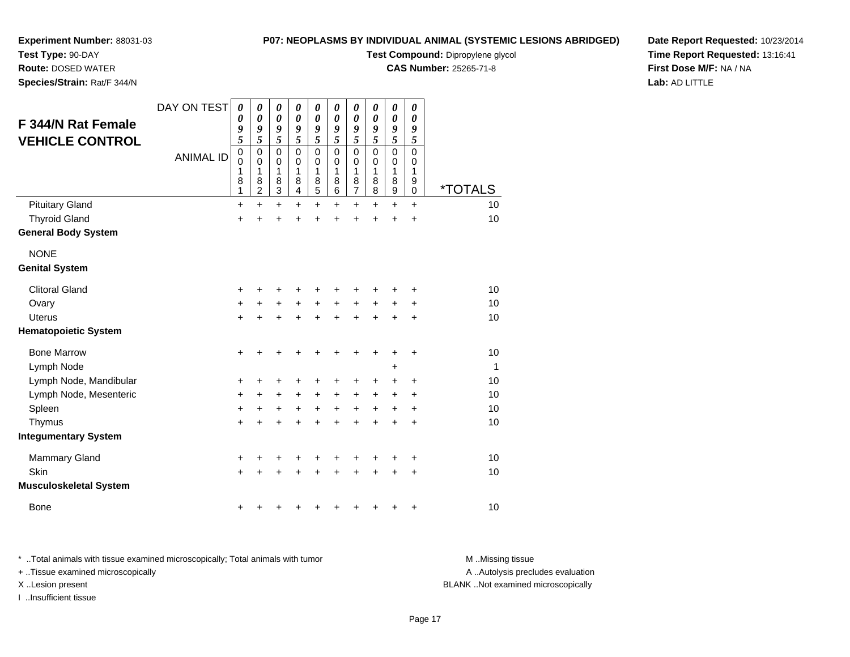**Test Type:** 90-DAY **Route:** DOSED WATER**Species/Strain:** Rat/F 344/N

#### **P07: NEOPLASMS BY INDIVIDUAL ANIMAL (SYSTEMIC LESIONS ABRIDGED)**

**Test Compound:** Dipropylene glycol

**CAS Number:** 25265-71-8

**Date Report Requested:** 10/23/2014**Time Report Requested:** 13:16:41**First Dose M/F:** NA / NA**Lab:** AD LITTLE

| <b>F 344/N Rat Female</b><br><b>VEHICLE CONTROL</b><br><b>Pituitary Gland</b> | DAY ON TEST<br><b>ANIMAL ID</b> | 0<br>0<br>9<br>5<br>$\mathbf 0$<br>$\mathbf 0$<br>1<br>8<br>1<br>$\ddot{}$ | 0<br>$\boldsymbol{\theta}$<br>9<br>5<br>$\mathbf 0$<br>$\mathbf 0$<br>1<br>8<br>$\overline{c}$<br>$\ddot{}$ | $\boldsymbol{\theta}$<br>0<br>9<br>5<br>0<br>$\mathbf 0$<br>1<br>8<br>3<br>$\ddot{}$ | 0<br>0<br>9<br>5<br>$\mathbf 0$<br>0<br>1<br>8<br>4<br>$\ddot{}$ | 0<br>0<br>9<br>5<br>$\mathbf 0$<br>$\mathbf 0$<br>1<br>$\frac{8}{5}$<br>$\ddot{}$ | 0<br>$\boldsymbol{\theta}$<br>9<br>5<br>$\mathbf 0$<br>$\mathbf 0$<br>1<br>8<br>6<br>$\ddot{}$ | 0<br>0<br>9<br>5<br>$\mathbf 0$<br>$\mathbf 0$<br>1<br>8<br>$\overline{7}$<br>$\ddot{}$ | 0<br>0<br>9<br>5<br>$\mathbf 0$<br>$\mathbf 0$<br>1<br>8<br>8<br>$\ddot{}$ | $\boldsymbol{\theta}$<br>0<br>9<br>5<br>$\mathbf 0$<br>$\mathbf 0$<br>1<br>8<br>$\overline{9}$<br>$\ddot{}$ | 0<br>0<br>9<br>5<br>$\mathbf 0$<br>0<br>1<br>9<br>0<br>$\ddot{}$ | <i><b>*TOTALS</b></i><br>10 |
|-------------------------------------------------------------------------------|---------------------------------|----------------------------------------------------------------------------|-------------------------------------------------------------------------------------------------------------|--------------------------------------------------------------------------------------|------------------------------------------------------------------|-----------------------------------------------------------------------------------|------------------------------------------------------------------------------------------------|-----------------------------------------------------------------------------------------|----------------------------------------------------------------------------|-------------------------------------------------------------------------------------------------------------|------------------------------------------------------------------|-----------------------------|
| <b>Thyroid Gland</b>                                                          |                                 | $\ddot{}$                                                                  | +                                                                                                           | +                                                                                    | +                                                                | +                                                                                 | +                                                                                              | +                                                                                       |                                                                            | $\ddot{}$                                                                                                   | $\ddot{}$                                                        | 10                          |
| <b>General Body System</b>                                                    |                                 |                                                                            |                                                                                                             |                                                                                      |                                                                  |                                                                                   |                                                                                                |                                                                                         |                                                                            |                                                                                                             |                                                                  |                             |
| <b>NONE</b><br><b>Genital System</b>                                          |                                 |                                                                            |                                                                                                             |                                                                                      |                                                                  |                                                                                   |                                                                                                |                                                                                         |                                                                            |                                                                                                             |                                                                  |                             |
| <b>Clitoral Gland</b>                                                         |                                 | +                                                                          | +                                                                                                           | +                                                                                    |                                                                  | +                                                                                 |                                                                                                | +                                                                                       |                                                                            |                                                                                                             | +                                                                | 10                          |
| Ovary                                                                         |                                 | +                                                                          | $\pm$                                                                                                       | $\pm$                                                                                | $\ddot{}$                                                        | $\ddot{}$                                                                         | $\ddot{}$                                                                                      | $\ddot{}$                                                                               | +                                                                          | $\pm$                                                                                                       | +                                                                | 10                          |
| <b>Uterus</b>                                                                 |                                 | $\ddot{}$                                                                  |                                                                                                             | +                                                                                    | +                                                                | $\ddot{}$                                                                         | +                                                                                              | $\ddot{}$                                                                               |                                                                            | $\ddot{}$                                                                                                   | $\ddot{}$                                                        | 10                          |
| <b>Hematopoietic System</b>                                                   |                                 |                                                                            |                                                                                                             |                                                                                      |                                                                  |                                                                                   |                                                                                                |                                                                                         |                                                                            |                                                                                                             |                                                                  |                             |
| <b>Bone Marrow</b>                                                            |                                 | $\ddot{}$                                                                  | +                                                                                                           | +                                                                                    |                                                                  | +                                                                                 | +                                                                                              | +                                                                                       |                                                                            | +                                                                                                           | +                                                                | 10                          |
| Lymph Node                                                                    |                                 |                                                                            |                                                                                                             |                                                                                      |                                                                  |                                                                                   |                                                                                                |                                                                                         |                                                                            | +                                                                                                           |                                                                  | $\mathbf{1}$                |
| Lymph Node, Mandibular                                                        |                                 | +                                                                          | +                                                                                                           | +                                                                                    | +                                                                | +                                                                                 | ٠                                                                                              | +                                                                                       | ٠                                                                          | +                                                                                                           | +                                                                | 10                          |
| Lymph Node, Mesenteric                                                        |                                 | $\ddot{}$                                                                  | +                                                                                                           | $\pm$                                                                                | +                                                                | $\ddot{}$                                                                         | $\ddot{}$                                                                                      | $\ddot{}$                                                                               | +                                                                          | $\pm$                                                                                                       | +                                                                | 10                          |
| Spleen                                                                        |                                 | $\ddot{}$                                                                  | +                                                                                                           | +                                                                                    | +                                                                | $\ddot{}$                                                                         | +                                                                                              | $\ddot{}$                                                                               | $\ddot{}$                                                                  | +                                                                                                           | $\pm$                                                            | 10                          |
| Thymus                                                                        |                                 | $\ddot{}$                                                                  | +                                                                                                           | $\ddot{}$                                                                            | +                                                                | $\ddot{}$                                                                         | $\ddot{}$                                                                                      | $\ddot{}$                                                                               |                                                                            | $\ddot{}$                                                                                                   | $\ddot{}$                                                        | 10                          |
| <b>Integumentary System</b>                                                   |                                 |                                                                            |                                                                                                             |                                                                                      |                                                                  |                                                                                   |                                                                                                |                                                                                         |                                                                            |                                                                                                             |                                                                  |                             |
| <b>Mammary Gland</b>                                                          |                                 | +                                                                          | +                                                                                                           | +                                                                                    | +                                                                | +                                                                                 | +                                                                                              | +                                                                                       |                                                                            | +                                                                                                           | +                                                                | 10                          |
| Skin                                                                          |                                 | $\ddot{}$                                                                  |                                                                                                             | +                                                                                    |                                                                  | +                                                                                 |                                                                                                |                                                                                         |                                                                            |                                                                                                             | +                                                                | 10                          |
| Musculoskeletal System                                                        |                                 |                                                                            |                                                                                                             |                                                                                      |                                                                  |                                                                                   |                                                                                                |                                                                                         |                                                                            |                                                                                                             |                                                                  |                             |
| <b>Bone</b>                                                                   |                                 | +                                                                          | +                                                                                                           | +                                                                                    |                                                                  | +                                                                                 | +                                                                                              | +                                                                                       |                                                                            | +                                                                                                           | +                                                                | 10                          |
|                                                                               |                                 |                                                                            |                                                                                                             |                                                                                      |                                                                  |                                                                                   |                                                                                                |                                                                                         |                                                                            |                                                                                                             |                                                                  |                             |

\* ..Total animals with tissue examined microscopically; Total animals with tumor **M** . Missing tissue M ..Missing tissue A ..Autolysis precludes evaluation + ..Tissue examined microscopically X ..Lesion present BLANK ..Not examined microscopicallyI ..Insufficient tissue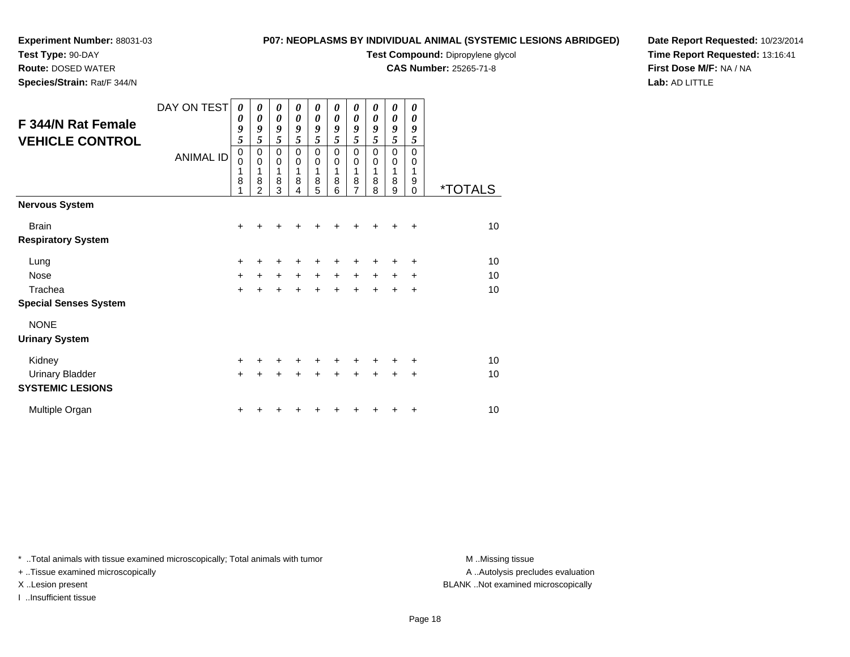**Route:** DOSED WATER**Species/Strain:** Rat/F 344/N

#### **P07: NEOPLASMS BY INDIVIDUAL ANIMAL (SYSTEMIC LESIONS ABRIDGED)**

**Test Compound:** Dipropylene glycol

**CAS Number:** 25265-71-8

**Date Report Requested:** 10/23/2014**Time Report Requested:** 13:16:41**First Dose M/F:** NA / NA**Lab:** AD LITTLE

| F 344/N Rat Female           | DAY ON TEST      | 0<br>0<br>9                | 0<br>0<br>9             | 0<br>0<br>9      | 0<br>0<br>9                    | 0<br>0<br>9                | 0<br>0<br>9      | $\boldsymbol{\theta}$<br>0<br>9 | 0<br>0<br>9      | 0<br>0<br>9      | 0<br>0<br>9      |                       |
|------------------------------|------------------|----------------------------|-------------------------|------------------|--------------------------------|----------------------------|------------------|---------------------------------|------------------|------------------|------------------|-----------------------|
| <b>VEHICLE CONTROL</b>       |                  | 5                          | 5                       | 5                | 5                              | 5                          | 5                | 5                               | 5                | 5                | 5                |                       |
|                              | <b>ANIMAL ID</b> | $\mathbf 0$<br>0<br>1<br>8 | 0<br>$\Omega$<br>1<br>8 | 0<br>0<br>1<br>8 | $\Omega$<br>$\Omega$<br>1<br>8 | $\mathbf 0$<br>0<br>1<br>8 | 0<br>0<br>1<br>8 | 0<br>0<br>1                     | 0<br>0<br>1<br>8 | 0<br>0<br>1<br>8 | 0<br>0<br>1<br>9 |                       |
|                              |                  |                            | $\mathfrak{p}$          | 3                | 4                              | 5                          | 6                | $\frac{8}{7}$                   | 8                | $\overline{9}$   | $\overline{0}$   | <i><b>*TOTALS</b></i> |
| Nervous System               |                  |                            |                         |                  |                                |                            |                  |                                 |                  |                  |                  |                       |
| <b>Brain</b>                 |                  | $\ddot{}$                  | +                       |                  |                                |                            |                  |                                 |                  |                  | ٠                | 10                    |
| <b>Respiratory System</b>    |                  |                            |                         |                  |                                |                            |                  |                                 |                  |                  |                  |                       |
| Lung                         |                  | $\ddot{}$                  |                         |                  |                                |                            |                  |                                 |                  |                  | ٠                | 10                    |
| <b>Nose</b>                  |                  | $\ddot{}$                  | $\pm$                   | $\ddot{}$        | $\ddot{}$                      | $\ddot{}$                  | $\ddot{}$        | $\ddot{}$                       | $\ddot{}$        | $\pm$            | +                | 10                    |
| Trachea                      |                  | $\ddot{}$                  |                         | $\ddot{}$        | $\ddot{}$                      | $\ddot{}$                  | $\ddot{}$        | $\ddot{}$                       |                  | +                | +                | 10                    |
| <b>Special Senses System</b> |                  |                            |                         |                  |                                |                            |                  |                                 |                  |                  |                  |                       |
| <b>NONE</b>                  |                  |                            |                         |                  |                                |                            |                  |                                 |                  |                  |                  |                       |
| <b>Urinary System</b>        |                  |                            |                         |                  |                                |                            |                  |                                 |                  |                  |                  |                       |
| Kidney                       |                  | $\ddot{}$                  |                         | +                |                                | +                          | +                | +                               |                  |                  | ٠                | 10                    |
| <b>Urinary Bladder</b>       |                  | $\ddot{}$                  |                         |                  |                                | +                          |                  |                                 |                  |                  | +                | 10                    |
| <b>SYSTEMIC LESIONS</b>      |                  |                            |                         |                  |                                |                            |                  |                                 |                  |                  |                  |                       |
| Multiple Organ               |                  | +                          |                         |                  |                                |                            |                  |                                 |                  |                  | ٠                | 10                    |
|                              |                  |                            |                         |                  |                                |                            |                  |                                 |                  |                  |                  |                       |

\* ..Total animals with tissue examined microscopically; Total animals with tumor **M** . Missing tissue M ..Missing tissue

+ ..Tissue examined microscopically

I ..Insufficient tissue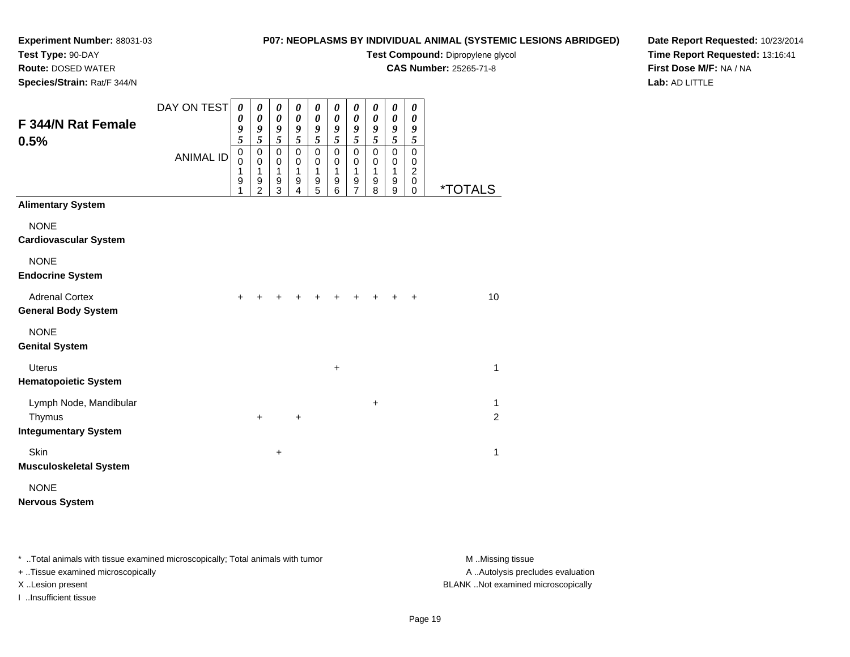**Route:** DOSED WATER

## **P07: NEOPLASMS BY INDIVIDUAL ANIMAL (SYSTEMIC LESIONS ABRIDGED)**

**Test Compound:** Dipropylene glycol

**CAS Number:** 25265-71-8

**Date Report Requested:** 10/23/2014**Time Report Requested:** 13:16:41**First Dose M/F:** NA / NA**Lab:** AD LITTLE

| Species/Strain: Rat/F 344/N                         |                  |                                 |                                                      |                                     |                                 |                                 |                                 |                                                      |                                 |                               |                                                    |                       |
|-----------------------------------------------------|------------------|---------------------------------|------------------------------------------------------|-------------------------------------|---------------------------------|---------------------------------|---------------------------------|------------------------------------------------------|---------------------------------|-------------------------------|----------------------------------------------------|-----------------------|
| F 344/N Rat Female                                  | DAY ON TEST      | 0<br>$\boldsymbol{\theta}$      | 0<br>$\pmb{\theta}$                                  | 0<br>$\boldsymbol{\theta}$          | 0<br>$\boldsymbol{\theta}$      | 0<br>$\boldsymbol{\theta}$      | 0<br>$\boldsymbol{\theta}$      | 0<br>$\boldsymbol{\theta}$                           | 0<br>$\boldsymbol{\theta}$      | 0<br>0                        | 0<br>$\boldsymbol{\theta}$                         |                       |
| 0.5%                                                |                  | 9<br>$\overline{\mathbf{5}}$    | 9<br>$\overline{5}$                                  | 9<br>$\overline{\mathbf{5}}$        | 9<br>5                          | 9<br>5                          | 9<br>5                          | 9<br>5                                               | 9<br>5                          | 9<br>$\mathfrak{s}$           | 9<br>$\mathfrak{s}$                                |                       |
|                                                     | <b>ANIMAL ID</b> | $\mathbf 0$<br>0<br>1<br>9<br>1 | $\pmb{0}$<br>$\mathbf 0$<br>1<br>9<br>$\overline{2}$ | $\pmb{0}$<br>$\,0\,$<br>1<br>9<br>3 | $\mathbf 0$<br>0<br>1<br>9<br>4 | $\mathbf 0$<br>0<br>1<br>9<br>5 | $\mathbf 0$<br>0<br>1<br>9<br>6 | $\mathbf 0$<br>$\pmb{0}$<br>1<br>9<br>$\overline{7}$ | $\mathbf 0$<br>0<br>1<br>9<br>8 | $\pmb{0}$<br>0<br>1<br>9<br>9 | $\pmb{0}$<br>0<br>$\overline{c}$<br>$\pmb{0}$<br>0 | <i><b>*TOTALS</b></i> |
| <b>Alimentary System</b>                            |                  |                                 |                                                      |                                     |                                 |                                 |                                 |                                                      |                                 |                               |                                                    |                       |
| <b>NONE</b><br><b>Cardiovascular System</b>         |                  |                                 |                                                      |                                     |                                 |                                 |                                 |                                                      |                                 |                               |                                                    |                       |
| <b>NONE</b><br><b>Endocrine System</b>              |                  |                                 |                                                      |                                     |                                 |                                 |                                 |                                                      |                                 |                               |                                                    |                       |
| <b>Adrenal Cortex</b><br><b>General Body System</b> |                  | ٠                               |                                                      |                                     |                                 |                                 |                                 |                                                      |                                 |                               | $\ddot{}$                                          | 10                    |
| <b>NONE</b><br><b>Genital System</b>                |                  |                                 |                                                      |                                     |                                 |                                 |                                 |                                                      |                                 |                               |                                                    |                       |
| <b>Uterus</b><br><b>Hematopoietic System</b>        |                  |                                 |                                                      |                                     |                                 |                                 | +                               |                                                      |                                 |                               |                                                    | $\mathbf{1}$          |
| Lymph Node, Mandibular<br>Thymus                    |                  |                                 | $\ddot{}$                                            |                                     | +                               |                                 |                                 |                                                      | +                               |                               |                                                    | 1<br>$\overline{c}$   |
| <b>Integumentary System</b>                         |                  |                                 |                                                      |                                     |                                 |                                 |                                 |                                                      |                                 |                               |                                                    |                       |
| Skin<br><b>Musculoskeletal System</b>               |                  |                                 |                                                      | +                                   |                                 |                                 |                                 |                                                      |                                 |                               |                                                    | $\mathbf{1}$          |
| <b>NONE</b>                                         |                  |                                 |                                                      |                                     |                                 |                                 |                                 |                                                      |                                 |                               |                                                    |                       |
| Nervous System                                      |                  |                                 |                                                      |                                     |                                 |                                 |                                 |                                                      |                                 |                               |                                                    |                       |

\* ..Total animals with tissue examined microscopically; Total animals with tumor **M** . Missing tissue M ..Missing tissue

+ ..Tissue examined microscopically

I ..Insufficient tissue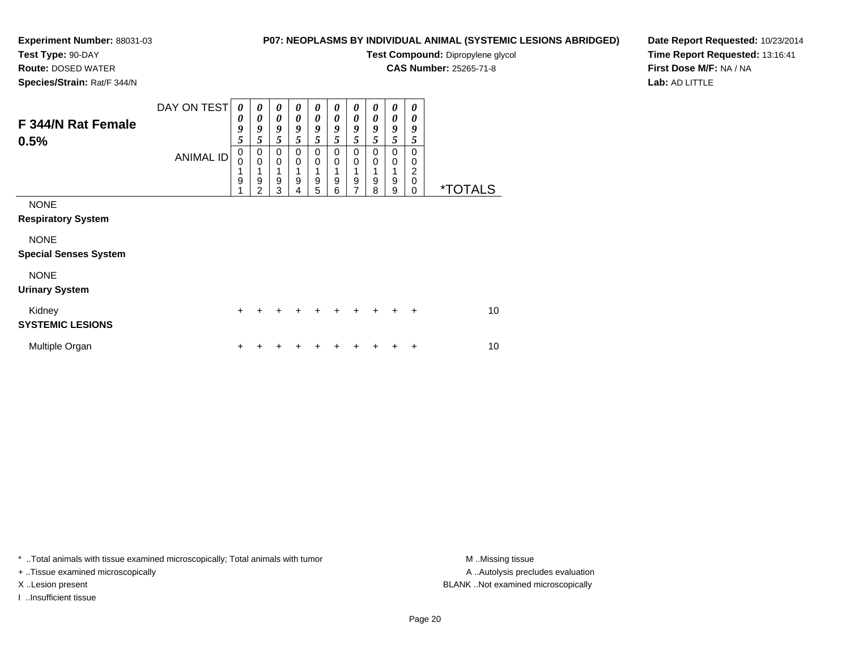**Route:** DOSED WATER**Species/Strain:** Rat/F 344/N

### **P07: NEOPLASMS BY INDIVIDUAL ANIMAL (SYSTEMIC LESIONS ABRIDGED)**

**Test Compound:** Dipropylene glycol

**CAS Number:** 25265-71-8

**Date Report Requested:** 10/23/2014**Time Report Requested:** 13:16:41**First Dose M/F:** NA / NA**Lab:** AD LITTLE

| F 344/N Rat Female<br>$0.5\%$               | DAY ON TEST      | 0<br>0<br>9<br>$\overline{\mathbf{5}}$ | 0<br>0<br>9<br>5 | $\boldsymbol{\theta}$<br>$\boldsymbol{\theta}$<br>9<br>5<br>0 | 0<br>0<br>9<br>5<br>0 | 0<br>0<br>9<br>5<br>$\Omega$ | 0<br>$\boldsymbol{\theta}$<br>9<br>5<br>$\Omega$ | 0<br>$\boldsymbol{\theta}$<br>9<br>5<br>0         | 0<br>$\boldsymbol{\theta}$<br>9<br>5<br>$\Omega$ | 0<br>0<br>9<br>5<br>$\Omega$ | 0<br>0<br>9<br>5<br>$\Omega$  |                       |
|---------------------------------------------|------------------|----------------------------------------|------------------|---------------------------------------------------------------|-----------------------|------------------------------|--------------------------------------------------|---------------------------------------------------|--------------------------------------------------|------------------------------|-------------------------------|-----------------------|
|                                             | <b>ANIMAL ID</b> | 0<br>0<br>9                            | 0<br>0<br>9<br>2 | 0<br>9<br>3                                                   | 0<br>9<br>4           | 0<br>9<br>5                  | $\Omega$<br>9<br>6                               | $\mathbf 0$<br>$\boldsymbol{9}$<br>$\overline{7}$ | 0<br>9<br>8                                      | $\pmb{0}$<br>9<br>9          | 0<br>$\overline{c}$<br>0<br>0 | <i><b>*TOTALS</b></i> |
| <b>NONE</b><br><b>Respiratory System</b>    |                  |                                        |                  |                                                               |                       |                              |                                                  |                                                   |                                                  |                              |                               |                       |
| <b>NONE</b><br><b>Special Senses System</b> |                  |                                        |                  |                                                               |                       |                              |                                                  |                                                   |                                                  |                              |                               |                       |
| <b>NONE</b><br><b>Urinary System</b>        |                  |                                        |                  |                                                               |                       |                              |                                                  |                                                   |                                                  |                              |                               |                       |
| Kidney<br><b>SYSTEMIC LESIONS</b>           |                  | $\pm$                                  |                  |                                                               |                       |                              |                                                  |                                                   | ÷                                                |                              | ÷                             | 10                    |
| Multiple Organ                              |                  |                                        |                  |                                                               |                       |                              |                                                  |                                                   |                                                  |                              | ٠                             | 10                    |

\* ..Total animals with tissue examined microscopically; Total animals with tumor **M** . Missing tissue M ..Missing tissue

+ ..Tissue examined microscopically

I ..Insufficient tissue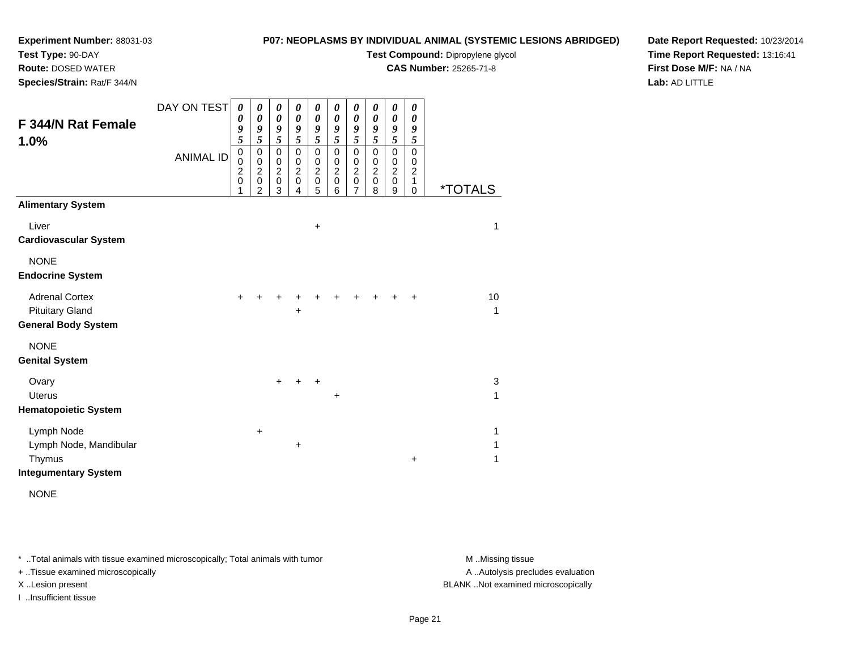**Test Type:** 90-DAY

**Route:** DOSED WATER

**Species/Strain:** Rat/F 344/N

#### **P07: NEOPLASMS BY INDIVIDUAL ANIMAL (SYSTEMIC LESIONS ABRIDGED)**

**Test Compound:** Dipropylene glycol

**CAS Number:** 25265-71-8

**Date Report Requested:** 10/23/2014**Time Report Requested:** 13:16:41**First Dose M/F:** NA / NA**Lab:** AD LITTLE

| F 344/N Rat Female<br>1.0%                                                    | DAY ON TEST<br><b>ANIMAL ID</b> | $\boldsymbol{\theta}$<br>0<br>9<br>5<br>$\pmb{0}$<br>0<br>$\boldsymbol{2}$<br>$\mathbf 0$<br>1 | 0<br>$\boldsymbol{\theta}$<br>9<br>5<br>$\pmb{0}$<br>$\pmb{0}$<br>$\overline{c}$<br>$\mbox{O}$<br>$\overline{2}$ | 0<br>$\boldsymbol{\theta}$<br>9<br>$\overline{5}$<br>$\pmb{0}$<br>$\pmb{0}$<br>$\overline{c}$<br>$\mathsf 0$<br>3 | $\boldsymbol{\theta}$<br>$\boldsymbol{\theta}$<br>9<br>$\overline{5}$<br>$\mathbf 0$<br>$\mathbf 0$<br>$\boldsymbol{2}$<br>$\mathbf 0$<br>4 | 0<br>$\boldsymbol{\theta}$<br>9<br>$\overline{5}$<br>$\mathbf 0$<br>0<br>$\boldsymbol{2}$<br>$\mathbf 0$<br>$\overline{5}$ | 0<br>$\boldsymbol{\theta}$<br>9<br>$\overline{5}$<br>$\mathbf 0$<br>$\mathbf 0$<br>$\boldsymbol{2}$<br>$\pmb{0}$<br>6 | 0<br>$\boldsymbol{\theta}$<br>9<br>$\overline{5}$<br>$\mathbf 0$<br>$\,0\,$<br>$\overline{c}$<br>$\mbox{O}$<br>$\overline{7}$ | 0<br>0<br>9<br>5<br>$\mathbf 0$<br>0<br>$\overline{c}$<br>$\mathbf 0$<br>8 | 0<br>$\boldsymbol{\theta}$<br>9<br>5<br>$\mathsf 0$<br>$\pmb{0}$<br>$\boldsymbol{2}$<br>$\mathsf 0$<br>$\boldsymbol{9}$ | 0<br>0<br>9<br>5<br>$\mathbf 0$<br>$\pmb{0}$<br>$\boldsymbol{2}$<br>1<br>$\Omega$ | <i><b>*TOTALS</b></i> |
|-------------------------------------------------------------------------------|---------------------------------|------------------------------------------------------------------------------------------------|------------------------------------------------------------------------------------------------------------------|-------------------------------------------------------------------------------------------------------------------|---------------------------------------------------------------------------------------------------------------------------------------------|----------------------------------------------------------------------------------------------------------------------------|-----------------------------------------------------------------------------------------------------------------------|-------------------------------------------------------------------------------------------------------------------------------|----------------------------------------------------------------------------|-------------------------------------------------------------------------------------------------------------------------|-----------------------------------------------------------------------------------|-----------------------|
| <b>Alimentary System</b><br>Liver<br><b>Cardiovascular System</b>             |                                 |                                                                                                |                                                                                                                  |                                                                                                                   |                                                                                                                                             | $\ddot{}$                                                                                                                  |                                                                                                                       |                                                                                                                               |                                                                            |                                                                                                                         |                                                                                   | $\mathbf{1}$          |
| <b>NONE</b><br><b>Endocrine System</b>                                        |                                 |                                                                                                |                                                                                                                  |                                                                                                                   |                                                                                                                                             |                                                                                                                            |                                                                                                                       |                                                                                                                               |                                                                            |                                                                                                                         |                                                                                   |                       |
| <b>Adrenal Cortex</b><br><b>Pituitary Gland</b><br><b>General Body System</b> |                                 | $\ddot{}$                                                                                      |                                                                                                                  |                                                                                                                   | +                                                                                                                                           |                                                                                                                            |                                                                                                                       |                                                                                                                               |                                                                            |                                                                                                                         | $\ddot{}$                                                                         | 10<br>$\mathbf{1}$    |
| <b>NONE</b><br><b>Genital System</b>                                          |                                 |                                                                                                |                                                                                                                  |                                                                                                                   |                                                                                                                                             |                                                                                                                            |                                                                                                                       |                                                                                                                               |                                                                            |                                                                                                                         |                                                                                   |                       |
| Ovary<br><b>Uterus</b><br><b>Hematopoietic System</b>                         |                                 |                                                                                                |                                                                                                                  | $+$                                                                                                               | $+$                                                                                                                                         | $\ddot{}$                                                                                                                  | +                                                                                                                     |                                                                                                                               |                                                                            |                                                                                                                         |                                                                                   | 3<br>1                |
| Lymph Node<br>Lymph Node, Mandibular<br>Thymus<br><b>Integumentary System</b> |                                 |                                                                                                | $\ddot{}$                                                                                                        |                                                                                                                   | $\ddot{}$                                                                                                                                   |                                                                                                                            |                                                                                                                       |                                                                                                                               |                                                                            |                                                                                                                         | $\ddot{}$                                                                         | 1<br>1<br>1           |

NONE

\* ..Total animals with tissue examined microscopically; Total animals with tumor **M** . Missing tissue M ..Missing tissue

+ ..Tissue examined microscopically

I ..Insufficient tissue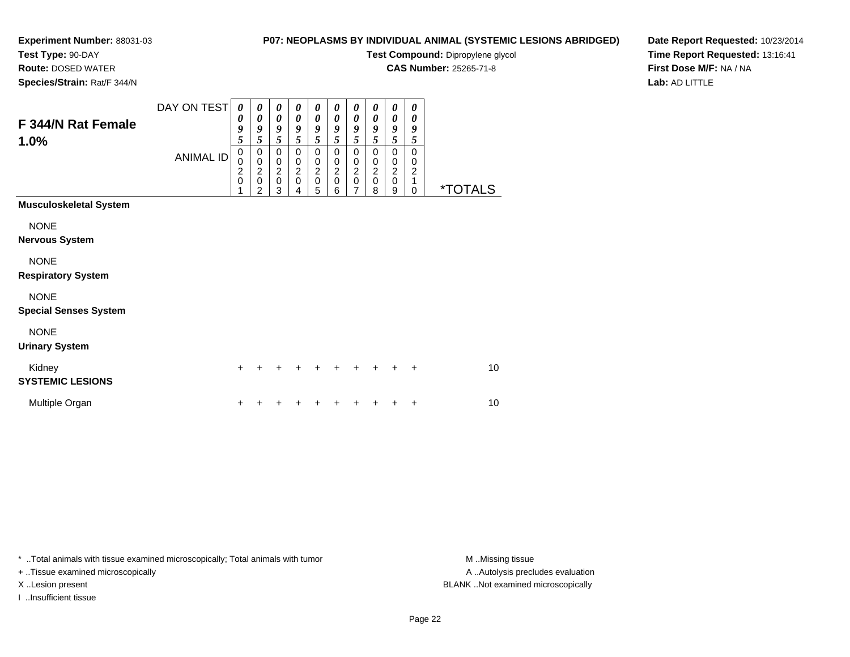## **Test Type:** 90-DAY

**Route:** DOSED WATER

**Species/Strain:** Rat/F 344/N

## **P07: NEOPLASMS BY INDIVIDUAL ANIMAL (SYSTEMIC LESIONS ABRIDGED)**

**Test Compound:** Dipropylene glycol

**CAS Number:** 25265-71-8

**Date Report Requested:** 10/23/2014**Time Report Requested:** 13:16:41**First Dose M/F:** NA / NA**Lab:** AD LITTLE

| F 344/N Rat Female<br>1.0%                  | DAY ON TEST<br><b>ANIMAL ID</b> | 0<br>0<br>9<br>5<br>$\,0\,$<br>$\overline{0}$<br>$\overline{c}$<br>$\mathbf 0$<br>1 | 0<br>0<br>9<br>5<br>0<br>$\pmb{0}$<br>$\overline{c}$<br>$\mathbf 0$<br>$\overline{2}$ | 0<br>0<br>9<br>5<br>0<br>$\pmb{0}$<br>$\overline{c}$<br>$\pmb{0}$<br>3 | 0<br>0<br>9<br>5<br>0<br>0<br>$\overline{c}$<br>$\mathbf 0$<br>4 | 0<br>$\boldsymbol{\theta}$<br>9<br>5<br>0<br>$\pmb{0}$<br>$\overline{c}$<br>$\mathbf 0$<br>5 | 0<br>$\boldsymbol{\theta}$<br>9<br>5<br>$\mathbf 0$<br>0<br>$\overline{2}$<br>$\mathbf 0$<br>6 | 0<br>0<br>9<br>5<br>$\pmb{0}$<br>$\pmb{0}$<br>$\overline{c}$<br>$\pmb{0}$<br>7 | 0<br>$\boldsymbol{\theta}$<br>9<br>5<br>$\mathbf 0$<br>$\mathbf 0$<br>$\overline{2}$<br>$\mathbf 0$<br>8 | 0<br>$\boldsymbol{\theta}$<br>9<br>5<br>0<br>$\pmb{0}$<br>$\overline{c}$<br>$\mathbf 0$<br>9 | 0<br>$\boldsymbol{\theta}$<br>9<br>5<br>0<br>0<br>$\overline{c}$<br>1<br>0 | <i><b>*TOTALS</b></i> |
|---------------------------------------------|---------------------------------|-------------------------------------------------------------------------------------|---------------------------------------------------------------------------------------|------------------------------------------------------------------------|------------------------------------------------------------------|----------------------------------------------------------------------------------------------|------------------------------------------------------------------------------------------------|--------------------------------------------------------------------------------|----------------------------------------------------------------------------------------------------------|----------------------------------------------------------------------------------------------|----------------------------------------------------------------------------|-----------------------|
| <b>Musculoskeletal System</b>               |                                 |                                                                                     |                                                                                       |                                                                        |                                                                  |                                                                                              |                                                                                                |                                                                                |                                                                                                          |                                                                                              |                                                                            |                       |
| <b>NONE</b><br><b>Nervous System</b>        |                                 |                                                                                     |                                                                                       |                                                                        |                                                                  |                                                                                              |                                                                                                |                                                                                |                                                                                                          |                                                                                              |                                                                            |                       |
| <b>NONE</b><br><b>Respiratory System</b>    |                                 |                                                                                     |                                                                                       |                                                                        |                                                                  |                                                                                              |                                                                                                |                                                                                |                                                                                                          |                                                                                              |                                                                            |                       |
| <b>NONE</b><br><b>Special Senses System</b> |                                 |                                                                                     |                                                                                       |                                                                        |                                                                  |                                                                                              |                                                                                                |                                                                                |                                                                                                          |                                                                                              |                                                                            |                       |
| <b>NONE</b><br><b>Urinary System</b>        |                                 |                                                                                     |                                                                                       |                                                                        |                                                                  |                                                                                              |                                                                                                |                                                                                |                                                                                                          |                                                                                              |                                                                            |                       |
| Kidney<br><b>SYSTEMIC LESIONS</b>           |                                 | $+$                                                                                 | ÷                                                                                     | +                                                                      |                                                                  |                                                                                              |                                                                                                | ÷                                                                              | $+$                                                                                                      | $\ddot{}$                                                                                    | $\ddot{}$                                                                  | 10                    |
| Multiple Organ                              |                                 |                                                                                     |                                                                                       |                                                                        |                                                                  |                                                                                              |                                                                                                |                                                                                |                                                                                                          |                                                                                              | +                                                                          | 10                    |

\* ..Total animals with tissue examined microscopically; Total animals with tumor **M** . Missing tissue M ..Missing tissue

+ ..Tissue examined microscopically

I ..Insufficient tissue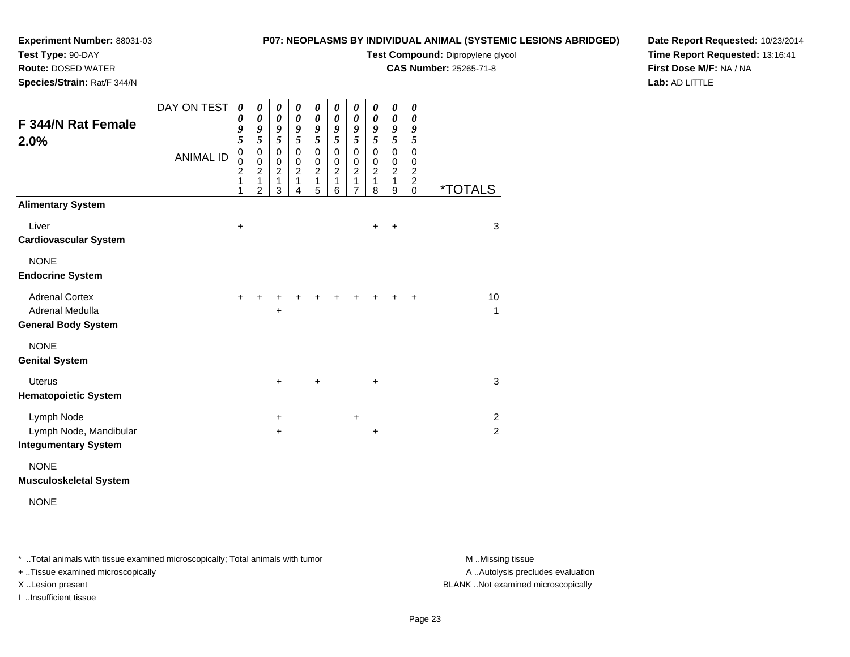**Test Type:** 90-DAY**Route:** DOSED WATER

## **P07: NEOPLASMS BY INDIVIDUAL ANIMAL (SYSTEMIC LESIONS ABRIDGED)**

**Test Compound:** Dipropylene glycol

**CAS Number:** 25265-71-8

**Date Report Requested:** 10/23/2014**Time Report Requested:** 13:16:41**First Dose M/F:** NA / NA**Lab:** AD LITTLE

| <b>Species/Strain: Rat/F 344/N</b>                                     |                                 |                                                     |                                                                                                             |                                                                                                  |                                                                                                |                                                                                                |                                                                                                  |                                                                                                                          |                                                                                                |                                                                                                  |                                                                                                    |                                  |
|------------------------------------------------------------------------|---------------------------------|-----------------------------------------------------|-------------------------------------------------------------------------------------------------------------|--------------------------------------------------------------------------------------------------|------------------------------------------------------------------------------------------------|------------------------------------------------------------------------------------------------|--------------------------------------------------------------------------------------------------|--------------------------------------------------------------------------------------------------------------------------|------------------------------------------------------------------------------------------------|--------------------------------------------------------------------------------------------------|----------------------------------------------------------------------------------------------------|----------------------------------|
| <b>F 344/N Rat Female</b><br>2.0%                                      | DAY ON TEST<br><b>ANIMAL ID</b> | 0<br>0<br>9<br>5<br>0<br>$\mathbf 0$<br>2<br>1<br>1 | 0<br>$\boldsymbol{\theta}$<br>9<br>5<br>$\mathbf 0$<br>$\pmb{0}$<br>$\boldsymbol{2}$<br>1<br>$\overline{2}$ | 0<br>$\boldsymbol{\theta}$<br>9<br>5<br>$\mathbf 0$<br>$\mathbf 0$<br>$\boldsymbol{2}$<br>1<br>3 | 0<br>$\boldsymbol{\theta}$<br>9<br>5<br>$\mathbf 0$<br>$\pmb{0}$<br>$\boldsymbol{2}$<br>1<br>4 | 0<br>$\boldsymbol{\theta}$<br>9<br>5<br>$\mathbf 0$<br>$\mathbf 0$<br>$\overline{c}$<br>1<br>5 | 0<br>$\boldsymbol{\theta}$<br>9<br>5<br>$\mathbf 0$<br>$\mathbf 0$<br>$\boldsymbol{2}$<br>1<br>6 | 0<br>$\boldsymbol{\theta}$<br>9<br>5<br>$\mathbf 0$<br>$\mathbf 0$<br>$\overline{2}$<br>$\overline{1}$<br>$\overline{7}$ | 0<br>$\boldsymbol{\theta}$<br>9<br>5<br>$\mathbf 0$<br>$\mathbf 0$<br>$\overline{c}$<br>1<br>8 | 0<br>$\boldsymbol{\theta}$<br>9<br>5<br>$\mathbf 0$<br>$\mathbf 0$<br>$\boldsymbol{2}$<br>1<br>9 | 0<br>0<br>9<br>5<br>$\Omega$<br>$\mathbf 0$<br>$\boldsymbol{2}$<br>$\boldsymbol{2}$<br>$\mathbf 0$ | <i><b>*TOTALS</b></i>            |
| <b>Alimentary System</b>                                               |                                 |                                                     |                                                                                                             |                                                                                                  |                                                                                                |                                                                                                |                                                                                                  |                                                                                                                          |                                                                                                |                                                                                                  |                                                                                                    |                                  |
| Liver<br><b>Cardiovascular System</b>                                  |                                 | $\ddot{}$                                           |                                                                                                             |                                                                                                  |                                                                                                |                                                                                                |                                                                                                  |                                                                                                                          | +                                                                                              | $\ddot{}$                                                                                        |                                                                                                    | 3                                |
| <b>NONE</b><br><b>Endocrine System</b>                                 |                                 |                                                     |                                                                                                             |                                                                                                  |                                                                                                |                                                                                                |                                                                                                  |                                                                                                                          |                                                                                                |                                                                                                  |                                                                                                    |                                  |
| <b>Adrenal Cortex</b><br>Adrenal Medulla<br><b>General Body System</b> |                                 | $\div$                                              |                                                                                                             | ÷                                                                                                |                                                                                                |                                                                                                |                                                                                                  |                                                                                                                          |                                                                                                | $\div$                                                                                           | $\ddot{}$                                                                                          | 10<br>$\mathbf{1}$               |
| <b>NONE</b><br><b>Genital System</b>                                   |                                 |                                                     |                                                                                                             |                                                                                                  |                                                                                                |                                                                                                |                                                                                                  |                                                                                                                          |                                                                                                |                                                                                                  |                                                                                                    |                                  |
| <b>Uterus</b><br><b>Hematopoietic System</b>                           |                                 |                                                     |                                                                                                             | $\ddot{}$                                                                                        |                                                                                                | $\ddot{}$                                                                                      |                                                                                                  |                                                                                                                          | +                                                                                              |                                                                                                  |                                                                                                    | 3                                |
| Lymph Node<br>Lymph Node, Mandibular<br><b>Integumentary System</b>    |                                 |                                                     |                                                                                                             | $\ddot{}$<br>+                                                                                   |                                                                                                |                                                                                                |                                                                                                  | $\ddot{}$                                                                                                                | +                                                                                              |                                                                                                  |                                                                                                    | $\overline{c}$<br>$\overline{c}$ |
| <b>NONE</b><br><b>Musculoskeletal System</b>                           |                                 |                                                     |                                                                                                             |                                                                                                  |                                                                                                |                                                                                                |                                                                                                  |                                                                                                                          |                                                                                                |                                                                                                  |                                                                                                    |                                  |

NONE

\* ..Total animals with tissue examined microscopically; Total animals with tumor **M** . Missing tissue M ..Missing tissue

+ ..Tissue examined microscopically

I ..Insufficient tissue

A ..Autolysis precludes evaluation

X ..Lesion present BLANK ..Not examined microscopically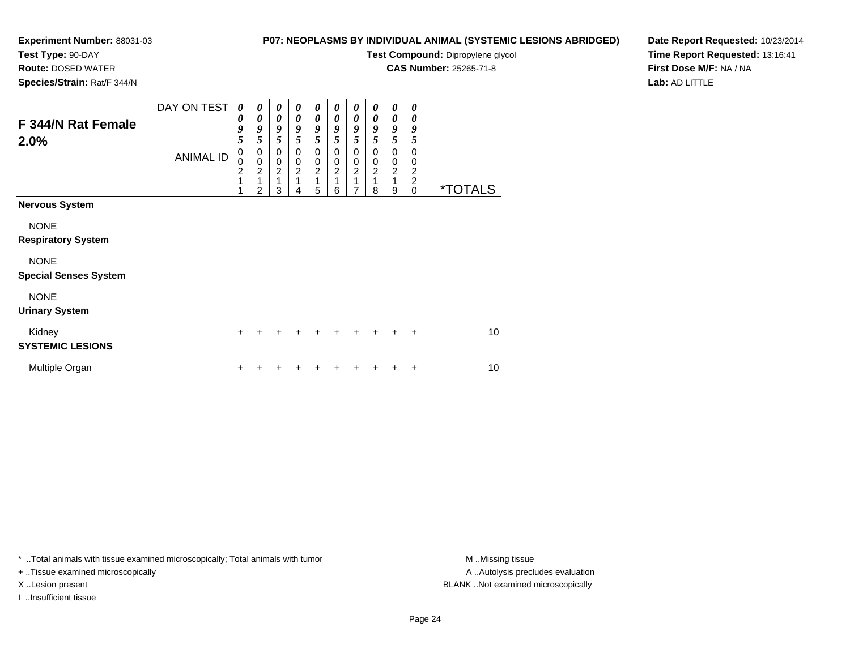**Route:** DOSED WATER**Species/Strain:** Rat/F 344/N

#### **P07: NEOPLASMS BY INDIVIDUAL ANIMAL (SYSTEMIC LESIONS ABRIDGED)**

**Test Compound:** Dipropylene glycol

**CAS Number:** 25265-71-8

**Date Report Requested:** 10/23/2014**Time Report Requested:** 13:16:41**First Dose M/F:** NA / NA**Lab:** AD LITTLE

| F 344/N Rat Female<br>2.0%        | DAY ON TEST<br><b>ANIMAL ID</b> | 0<br>0<br>9<br>5<br>$\begin{smallmatrix}0\\0\end{smallmatrix}$<br>$\overline{c}$ | 0<br>$\boldsymbol{\theta}$<br>9<br>5<br>$\begin{matrix} 0 \\ 0 \\ 2 \end{matrix}$ | 0<br>0<br>9<br>5<br>0<br>$\begin{smallmatrix} 0\\2 \end{smallmatrix}$ | 0<br>0<br>9<br>5<br>0<br>$\,0\,$<br>$\overline{2}$ | 0<br>0<br>9<br>5<br>0<br>0<br>$\overline{c}$ | 0<br>0<br>9<br>5<br>0<br>$\mathbf 0$<br>$\overline{c}$ | 0<br>0<br>9<br>5<br>$\mathbf 0$<br>$\begin{smallmatrix} 0 \\ 2 \end{smallmatrix}$ | 0<br>0<br>9<br>5<br>0<br>$\pmb{0}$<br>$\overline{c}$ | 0<br>$\boldsymbol{\theta}$<br>9<br>5<br>0<br>$\begin{smallmatrix} 0 \\ 2 \end{smallmatrix}$ | 0<br>0<br>9<br>5<br>0<br>0<br>$\overline{c}$ |                       |
|-----------------------------------|---------------------------------|----------------------------------------------------------------------------------|-----------------------------------------------------------------------------------|-----------------------------------------------------------------------|----------------------------------------------------|----------------------------------------------|--------------------------------------------------------|-----------------------------------------------------------------------------------|------------------------------------------------------|---------------------------------------------------------------------------------------------|----------------------------------------------|-----------------------|
|                                   |                                 | 1<br>1                                                                           | 1<br>$\overline{2}$                                                               | 1<br>3                                                                | 1<br>4                                             | 1<br>5                                       | 1<br>6                                                 | 1<br>7                                                                            | 1<br>8                                               | $\mathbf 1$<br>9                                                                            | $\overline{c}$<br>$\Omega$                   | <i><b>*TOTALS</b></i> |
| <b>Nervous System</b>             |                                 |                                                                                  |                                                                                   |                                                                       |                                                    |                                              |                                                        |                                                                                   |                                                      |                                                                                             |                                              |                       |
| <b>NONE</b>                       |                                 |                                                                                  |                                                                                   |                                                                       |                                                    |                                              |                                                        |                                                                                   |                                                      |                                                                                             |                                              |                       |
| <b>Respiratory System</b>         |                                 |                                                                                  |                                                                                   |                                                                       |                                                    |                                              |                                                        |                                                                                   |                                                      |                                                                                             |                                              |                       |
| <b>NONE</b>                       |                                 |                                                                                  |                                                                                   |                                                                       |                                                    |                                              |                                                        |                                                                                   |                                                      |                                                                                             |                                              |                       |
| <b>Special Senses System</b>      |                                 |                                                                                  |                                                                                   |                                                                       |                                                    |                                              |                                                        |                                                                                   |                                                      |                                                                                             |                                              |                       |
| <b>NONE</b>                       |                                 |                                                                                  |                                                                                   |                                                                       |                                                    |                                              |                                                        |                                                                                   |                                                      |                                                                                             |                                              |                       |
| <b>Urinary System</b>             |                                 |                                                                                  |                                                                                   |                                                                       |                                                    |                                              |                                                        |                                                                                   |                                                      |                                                                                             |                                              |                       |
| Kidney<br><b>SYSTEMIC LESIONS</b> |                                 | $\pm$                                                                            |                                                                                   |                                                                       |                                                    | +                                            | ٠                                                      | +                                                                                 |                                                      | ÷                                                                                           | $\ddot{}$                                    | 10 <sup>1</sup>       |
| Multiple Organ                    |                                 |                                                                                  |                                                                                   |                                                                       |                                                    |                                              |                                                        |                                                                                   |                                                      |                                                                                             | ٠                                            | 10                    |

\* ..Total animals with tissue examined microscopically; Total animals with tumor **M** . Missing tissue M ..Missing tissue

+ ..Tissue examined microscopically

I ..Insufficient tissue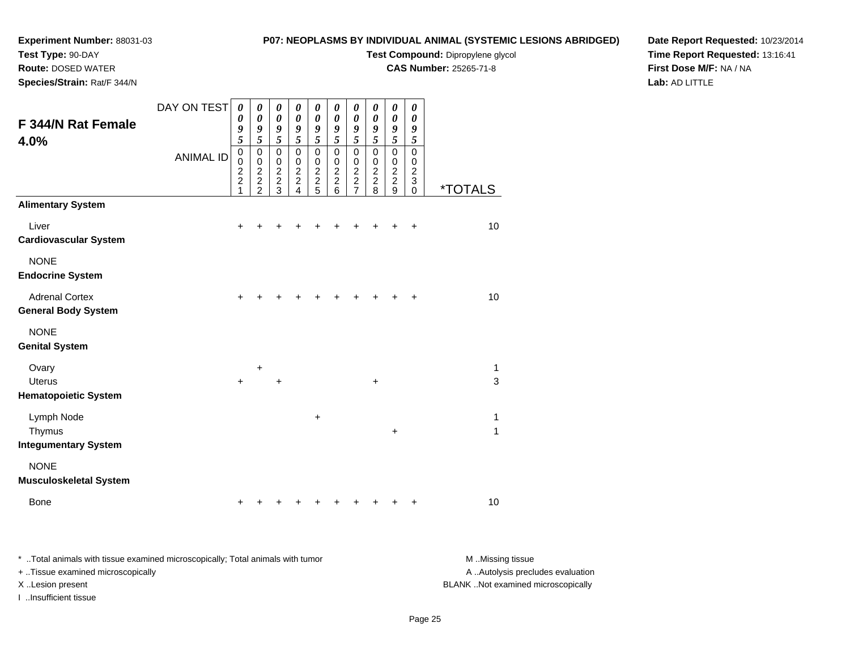## **Test Type:** 90-DAY

**Route:** DOSED WATER

**Species/Strain:** Rat/F 344/N

## **P07: NEOPLASMS BY INDIVIDUAL ANIMAL (SYSTEMIC LESIONS ABRIDGED)**

**Test Compound:** Dipropylene glycol

**CAS Number:** 25265-71-8

**Date Report Requested:** 10/23/2014**Time Report Requested:** 13:16:41**First Dose M/F:** NA / NA**Lab:** AD LITTLE

| <b>F 344/N Rat Female</b><br>4.0%                                 | DAY ON TEST<br><b>ANIMAL ID</b> | 0<br>$\boldsymbol{\theta}$<br>9<br>$\overline{5}$<br>0<br>$\mathbf 0$<br>$\begin{array}{c} 2 \\ 2 \\ 1 \end{array}$ | 0<br>$\pmb{\theta}$<br>9<br>$\overline{5}$<br>$\pmb{0}$<br>$\mathbf 0$<br>$\frac{2}{2}$ | 0<br>$\boldsymbol{\theta}$<br>9<br>$\overline{\mathbf{5}}$<br>$\mbox{O}$<br>$\pmb{0}$<br>$\frac{2}{2}$<br>$\overline{3}$ | 0<br>$\pmb{\theta}$<br>9<br>$\overline{5}$<br>$\overline{0}$<br>$\pmb{0}$<br>$\frac{2}{2}$<br>$\overline{4}$ | 0<br>$\boldsymbol{\theta}$<br>$\boldsymbol{g}$<br>5<br>$\mathbf 0$<br>$\pmb{0}$<br>$\frac{2}{2}$<br>$\overline{5}$ | 0<br>$\pmb{\theta}$<br>$\boldsymbol{g}$<br>$\overline{5}$<br>$\mathbf 0$<br>$\frac{0}{2}$<br>6 | 0<br>$\boldsymbol{\theta}$<br>9<br>$\overline{5}$<br>$\overline{0}$<br>$\mathbf 0$<br>$\frac{2}{2}$<br>$\overline{7}$ | 0<br>$\boldsymbol{\theta}$<br>9<br>$\overline{5}$<br>$\mbox{O}$<br>$\pmb{0}$<br>$\frac{2}{2}$<br>8 | 0<br>$\boldsymbol{\theta}$<br>$\pmb{9}$<br>$\overline{5}$<br>$\mathbf 0$<br>$\mathbf 0$<br>$\frac{2}{2}$<br>9 | 0<br>$\boldsymbol{\theta}$<br>9<br>5<br>$\mathbf 0$<br>$\pmb{0}$<br>$\sqrt{2}$<br>$\ensuremath{\mathsf{3}}$<br>$\mathbf 0$ | <i><b>*TOTALS</b></i> |
|-------------------------------------------------------------------|---------------------------------|---------------------------------------------------------------------------------------------------------------------|-----------------------------------------------------------------------------------------|--------------------------------------------------------------------------------------------------------------------------|--------------------------------------------------------------------------------------------------------------|--------------------------------------------------------------------------------------------------------------------|------------------------------------------------------------------------------------------------|-----------------------------------------------------------------------------------------------------------------------|----------------------------------------------------------------------------------------------------|---------------------------------------------------------------------------------------------------------------|----------------------------------------------------------------------------------------------------------------------------|-----------------------|
| <b>Alimentary System</b><br>Liver<br><b>Cardiovascular System</b> |                                 | ٠                                                                                                                   |                                                                                         |                                                                                                                          |                                                                                                              |                                                                                                                    |                                                                                                |                                                                                                                       |                                                                                                    |                                                                                                               | ٠                                                                                                                          | 10                    |
| <b>NONE</b><br><b>Endocrine System</b>                            |                                 |                                                                                                                     |                                                                                         |                                                                                                                          |                                                                                                              |                                                                                                                    |                                                                                                |                                                                                                                       |                                                                                                    |                                                                                                               |                                                                                                                            |                       |
| <b>Adrenal Cortex</b><br><b>General Body System</b>               |                                 |                                                                                                                     |                                                                                         |                                                                                                                          |                                                                                                              |                                                                                                                    |                                                                                                |                                                                                                                       |                                                                                                    |                                                                                                               | ٠                                                                                                                          | 10                    |
| <b>NONE</b><br><b>Genital System</b>                              |                                 |                                                                                                                     |                                                                                         |                                                                                                                          |                                                                                                              |                                                                                                                    |                                                                                                |                                                                                                                       |                                                                                                    |                                                                                                               |                                                                                                                            |                       |
| Ovary<br><b>Uterus</b><br><b>Hematopoietic System</b>             |                                 | $\ddot{}$                                                                                                           | $\ddot{}$                                                                               | ÷                                                                                                                        |                                                                                                              |                                                                                                                    |                                                                                                |                                                                                                                       | $\ddot{}$                                                                                          |                                                                                                               |                                                                                                                            | 1<br>3                |
| Lymph Node<br>Thymus<br><b>Integumentary System</b>               |                                 |                                                                                                                     |                                                                                         |                                                                                                                          |                                                                                                              | +                                                                                                                  |                                                                                                |                                                                                                                       |                                                                                                    | $\ddot{}$                                                                                                     |                                                                                                                            | 1<br>1                |
| <b>NONE</b><br><b>Musculoskeletal System</b>                      |                                 |                                                                                                                     |                                                                                         |                                                                                                                          |                                                                                                              |                                                                                                                    |                                                                                                |                                                                                                                       |                                                                                                    |                                                                                                               |                                                                                                                            |                       |
| Bone                                                              |                                 | +                                                                                                                   |                                                                                         |                                                                                                                          |                                                                                                              |                                                                                                                    |                                                                                                |                                                                                                                       |                                                                                                    |                                                                                                               |                                                                                                                            | 10                    |

\* ..Total animals with tissue examined microscopically; Total animals with tumor **M** . Missing tissue M ..Missing tissue A ..Autolysis precludes evaluation + ..Tissue examined microscopically X ..Lesion present BLANK ..Not examined microscopicallyI ..Insufficient tissue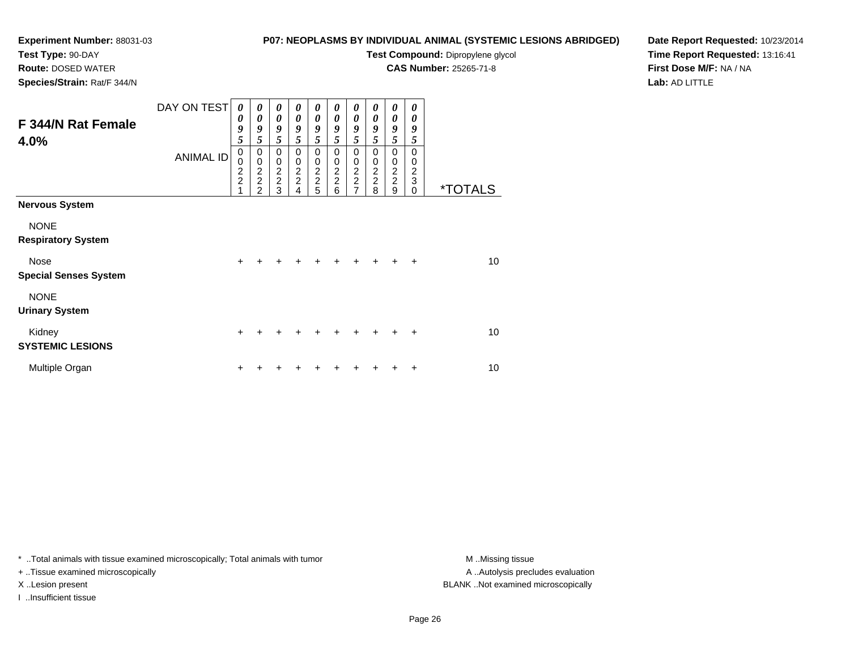**Route:** DOSED WATER**Species/Strain:** Rat/F 344/N

## **P07: NEOPLASMS BY INDIVIDUAL ANIMAL (SYSTEMIC LESIONS ABRIDGED)**

**Test Compound:** Dipropylene glycol

**CAS Number:** 25265-71-8

**Date Report Requested:** 10/23/2014**Time Report Requested:** 13:16:41**First Dose M/F:** NA / NA**Lab:** AD LITTLE

|                              | DAY ON TEST      | 0<br>0           | 0<br>0         | 0<br>0        | 0<br>0        | 0<br>0                                     | 0<br>0        | 0<br>0                                     | 0<br>0        | 0<br>0                                     | 0<br>0         |                       |
|------------------------------|------------------|------------------|----------------|---------------|---------------|--------------------------------------------|---------------|--------------------------------------------|---------------|--------------------------------------------|----------------|-----------------------|
| F 344/N Rat Female           |                  | 9                | 9              | 9             | 9             | 9                                          | 9             | 9                                          | 9             | 9                                          | 9              |                       |
| 4.0%                         |                  | 5                | 5              | 5             | 5             | 5                                          | 5             | 5                                          | 5             | 5                                          | 5              |                       |
|                              | <b>ANIMAL ID</b> | $\mathbf 0$<br>0 | 0<br>$\pmb{0}$ | 0<br>0        | 0<br>0        | 0                                          | 0<br>0        | 0                                          | 0<br>0        | $\boldsymbol{0}$                           | 0<br>0         |                       |
|                              |                  | $\frac{2}{2}$    | $\frac{2}{2}$  | $\frac{2}{2}$ | $\frac{2}{2}$ | $\begin{array}{c} 0 \\ 2 \\ 2 \end{array}$ | $\frac{2}{2}$ | $\begin{array}{c} 0 \\ 2 \\ 2 \end{array}$ | $\frac{2}{2}$ | $\begin{array}{c} 0 \\ 2 \\ 2 \end{array}$ | $\overline{c}$ |                       |
|                              |                  |                  | $\mathcal{P}$  | 3             | 4             | 5                                          | 6             | $\overline{7}$                             | 8             | 9                                          | 3<br>0         | <i><b>*TOTALS</b></i> |
| <b>Nervous System</b>        |                  |                  |                |               |               |                                            |               |                                            |               |                                            |                |                       |
| <b>NONE</b>                  |                  |                  |                |               |               |                                            |               |                                            |               |                                            |                |                       |
| <b>Respiratory System</b>    |                  |                  |                |               |               |                                            |               |                                            |               |                                            |                |                       |
| <b>Nose</b>                  |                  | $\pm$            |                |               |               |                                            |               |                                            |               |                                            | ÷              | 10                    |
| <b>Special Senses System</b> |                  |                  |                |               |               |                                            |               |                                            |               |                                            |                |                       |
| <b>NONE</b>                  |                  |                  |                |               |               |                                            |               |                                            |               |                                            |                |                       |
| <b>Urinary System</b>        |                  |                  |                |               |               |                                            |               |                                            |               |                                            |                |                       |
| Kidney                       |                  | $\pm$            |                |               |               |                                            |               |                                            |               |                                            | ٠              | 10                    |
| <b>SYSTEMIC LESIONS</b>      |                  |                  |                |               |               |                                            |               |                                            |               |                                            |                |                       |
| Multiple Organ               |                  | +                |                |               |               |                                            |               |                                            |               |                                            |                | 10                    |

\* ..Total animals with tissue examined microscopically; Total animals with tumor **M** . Missing tissue M ..Missing tissue

+ ..Tissue examined microscopically

I ..Insufficient tissue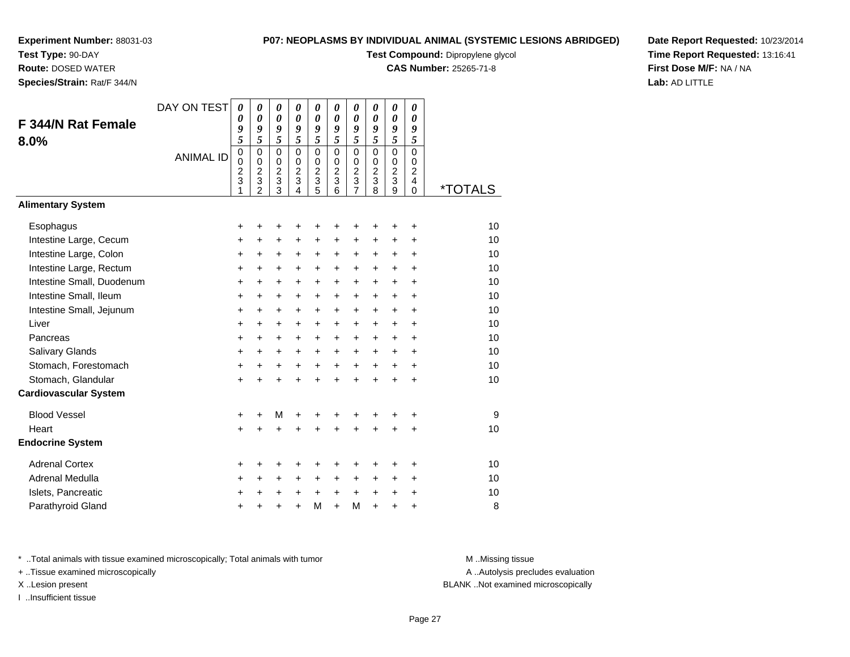**Test Type:** 90-DAY

**Route:** DOSED WATER

**Species/Strain:** Rat/F 344/N

#### **P07: NEOPLASMS BY INDIVIDUAL ANIMAL (SYSTEMIC LESIONS ABRIDGED)**

**Test Compound:** Dipropylene glycol

**CAS Number:** 25265-71-8

**Date Report Requested:** 10/23/2014**Time Report Requested:** 13:16:41**First Dose M/F:** NA / NA**Lab:** AD LITTLE

|                              | DAY ON TEST      | 0                             | 0                             | 0                               | 0<br>$\boldsymbol{\theta}$    | 0                             | 0<br>$\boldsymbol{\theta}$    | 0                          | 0<br>$\boldsymbol{\theta}$ | 0<br>$\boldsymbol{\theta}$    | 0                             |                       |
|------------------------------|------------------|-------------------------------|-------------------------------|---------------------------------|-------------------------------|-------------------------------|-------------------------------|----------------------------|----------------------------|-------------------------------|-------------------------------|-----------------------|
| F 344/N Rat Female           |                  | 0<br>9                        | $\boldsymbol{\theta}$<br>9    | $\boldsymbol{\theta}$<br>9      | 9                             | $\boldsymbol{\theta}$<br>9    | 9                             | $\boldsymbol{\theta}$<br>9 |                            |                               | $\boldsymbol{\theta}$<br>9    |                       |
| 8.0%                         |                  | $\overline{\mathbf{5}}$       | $\overline{5}$                | $\overline{5}$                  | $\overline{5}$                | 5                             | 5                             | $\overline{\mathbf{5}}$    | g<br>5                     | $\frac{9}{5}$                 | 5                             |                       |
|                              | <b>ANIMAL ID</b> | $\mathbf 0$                   | $\mathsf 0$                   | $\mathbf 0$                     | $\mathbf 0$                   | 0                             | $\mathbf 0$                   | $\mathbf 0$                | 0                          | $\mathbf 0$                   | $\mathbf 0$                   |                       |
|                              |                  | $\mathbf 0$<br>$\overline{c}$ | $\mathbf 0$<br>$\overline{c}$ | $\mathbf 0$<br>$\boldsymbol{2}$ | $\mathbf 0$<br>$\overline{2}$ | $\mathbf 0$<br>$\overline{c}$ | $\mathbf 0$<br>$\overline{2}$ | 0                          | 0<br>$\overline{c}$        | $\mathbf 0$<br>$\overline{2}$ | $\mathbf 0$<br>$\overline{c}$ |                       |
|                              |                  | $\overline{3}$                | 3                             | $\overline{3}$                  | $\mathbf{3}$                  | $\overline{3}$                | 3                             | $\frac{2}{3}$              | 3                          | 3                             | $\overline{4}$                |                       |
|                              |                  | 1                             | $\overline{2}$                | 3                               | 4                             | 5                             | 6                             | $\overline{7}$             | 8                          | 9                             | $\Omega$                      | <i><b>*TOTALS</b></i> |
| <b>Alimentary System</b>     |                  |                               |                               |                                 |                               |                               |                               |                            |                            |                               |                               |                       |
| Esophagus                    |                  | +                             | +                             | +                               | +                             | +                             | +                             | +                          | +                          | +                             | $\ddot{}$                     | 10                    |
| Intestine Large, Cecum       |                  | +                             | $\ddot{}$                     | $\ddot{}$                       | +                             | +                             | $\ddot{}$                     | +                          | +                          | +                             | $\ddot{}$                     | 10                    |
| Intestine Large, Colon       |                  | $\ddot{}$                     | $\ddot{}$                     | $\ddot{}$                       | +                             | $\ddot{}$                     | $\ddot{}$                     | $\ddot{}$                  | $\ddot{}$                  | $\ddot{}$                     | $\ddot{}$                     | 10                    |
| Intestine Large, Rectum      |                  | +                             | $\ddot{}$                     | $\ddot{}$                       | +                             | $\ddot{}$                     | $\ddot{}$                     | $\ddot{}$                  | +                          | $\ddot{}$                     | $\ddot{}$                     | 10                    |
| Intestine Small, Duodenum    |                  | +                             | +                             | $\ddot{}$                       | +                             | +                             | +                             | $\ddot{}$                  | +                          | $\ddot{}$                     | $\ddot{}$                     | 10                    |
| Intestine Small, Ileum       |                  | $\ddot{}$                     | $+$                           | $\ddot{}$                       | $\ddot{}$                     | $\ddot{}$                     | $\ddot{}$                     | $\ddot{}$                  | $\ddot{}$                  | $+$                           | $\ddot{}$                     | 10                    |
| Intestine Small, Jejunum     |                  | +                             | $\ddot{}$                     | $\ddot{}$                       | +                             | +                             | $\ddot{}$                     | $\ddot{}$                  | $\ddot{}$                  | $\ddot{}$                     | $\ddot{}$                     | 10                    |
| Liver                        |                  | $\ddot{}$                     | $\ddot{}$                     | $\ddot{}$                       | +                             | $\ddot{}$                     | $\ddot{}$                     | $\ddot{}$                  | +                          | $\ddot{}$                     | $\ddot{}$                     | 10                    |
| Pancreas                     |                  | +                             | $\ddot{}$                     | $\ddot{}$                       | +                             | +                             | $\ddot{}$                     | +                          | +                          | $\ddot{}$                     | $\ddot{}$                     | 10                    |
| <b>Salivary Glands</b>       |                  | $\ddot{}$                     | $\ddot{}$                     | $\ddot{}$                       | +                             | $\ddot{}$                     | $\ddot{}$                     | $\ddot{}$                  | $\ddot{}$                  | $\ddot{}$                     | $\ddot{}$                     | 10                    |
| Stomach, Forestomach         |                  | $\ddot{}$                     | $\ddot{}$                     | $\ddot{}$                       | $+$                           | $+$                           | $+$                           | $+$                        | $+$                        | $+$                           | $\ddot{}$                     | 10                    |
| Stomach, Glandular           |                  | $\ddot{}$                     | $\ddot{}$                     | $\ddot{}$                       | ÷                             | $\ddot{}$                     | $\ddot{}$                     | $\ddot{}$                  | $\ddot{}$                  | $\ddot{}$                     | $\ddot{}$                     | 10                    |
| <b>Cardiovascular System</b> |                  |                               |                               |                                 |                               |                               |                               |                            |                            |                               |                               |                       |
| <b>Blood Vessel</b>          |                  | +                             | +                             | M                               | +                             | +                             | +                             | +                          |                            | +                             | +                             | 9                     |
| Heart                        |                  | $\ddot{}$                     | $\ddot{}$                     | $\ddot{}$                       | $\ddot{}$                     | $\ddot{}$                     | $\ddot{}$                     | $\ddot{}$                  | $\ddot{}$                  | $\ddot{}$                     | $\ddot{}$                     | 10                    |
| <b>Endocrine System</b>      |                  |                               |                               |                                 |                               |                               |                               |                            |                            |                               |                               |                       |
| <b>Adrenal Cortex</b>        |                  | +                             | +                             | +                               | +                             | +                             | +                             | +                          | ٠                          | +                             | ٠                             | 10                    |
| Adrenal Medulla              |                  | +                             | $\ddot{}$                     | $\ddot{}$                       | +                             | +                             | +                             | +                          | $\pm$                      | $\ddot{}$                     | $\ddot{}$                     | 10                    |
| Islets, Pancreatic           |                  | +                             | $\ddot{}$                     | $\ddot{}$                       | $\ddot{}$                     | $+$                           | $\ddot{}$                     | $\ddot{}$                  | $+$                        | $\ddot{}$                     | $\ddot{}$                     | 10                    |
| Parathyroid Gland            |                  |                               |                               |                                 | $\ddot{}$                     | M                             | $\ddot{}$                     | M                          | $\ddot{}$                  | $\ddot{}$                     | $\ddot{}$                     | 8                     |
|                              |                  |                               |                               |                                 |                               |                               |                               |                            |                            |                               |                               |                       |

\* ..Total animals with tissue examined microscopically; Total animals with tumor **M** . Missing tissue M ..Missing tissue

+ ..Tissue examined microscopically

I ..Insufficient tissue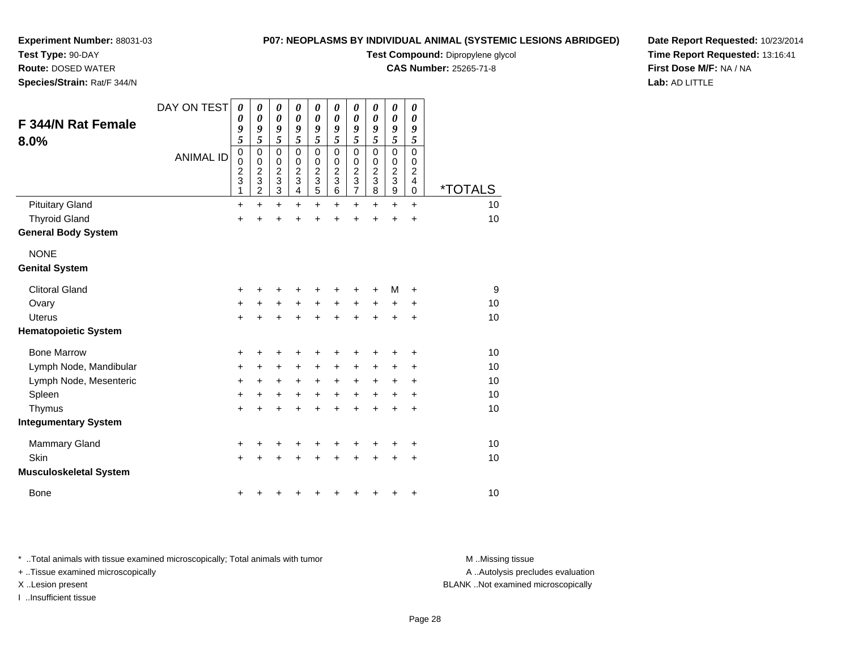**Test Type:** 90-DAY

**Route:** DOSED WATER

**Species/Strain:** Rat/F 344/N

#### **P07: NEOPLASMS BY INDIVIDUAL ANIMAL (SYSTEMIC LESIONS ABRIDGED)**

**Test Compound:** Dipropylene glycol

**CAS Number:** 25265-71-8

**Date Report Requested:** 10/23/2014**Time Report Requested:** 13:16:41**First Dose M/F:** NA / NA**Lab:** AD LITTLE

| <b>F 344/N Rat Female</b><br>8.0% | DAY ON TEST<br><b>ANIMAL ID</b> | 0<br>0<br>9<br>5<br>$\mathbf 0$<br>$\mathbf 0$<br>$\frac{2}{3}$ | 0<br>0<br>9<br>5<br>$\mathbf 0$<br>0<br>$\overline{c}$<br>3 | 0<br>$\boldsymbol{\theta}$<br>9<br>5<br>$\pmb{0}$<br>$\pmb{0}$<br>$\frac{2}{3}$ | 0<br>$\boldsymbol{\theta}$<br>9<br>5<br>$\mathbf 0$<br>0<br>$\overline{c}$<br>3 | 0<br>$\boldsymbol{\theta}$<br>9<br>5<br>$\mathbf 0$<br>$\pmb{0}$<br>$\frac{2}{3}$ | 0<br>$\boldsymbol{\theta}$<br>9<br>5<br>$\mathbf 0$<br>0<br>$\overline{c}$<br>3 | 0<br>0<br>9<br>5<br>0<br>0<br>$\frac{2}{3}$ | 0<br>$\boldsymbol{\theta}$<br>9<br>5<br>$\mathbf 0$<br>0<br>$\overline{\mathbf{c}}$<br>3 | 0<br>0<br>9<br>5<br>0<br>$\frac{0}{2}$ | 0<br>0<br>9<br>5<br>$\mathbf 0$<br>0<br>$\overline{c}$<br>4 |                       |
|-----------------------------------|---------------------------------|-----------------------------------------------------------------|-------------------------------------------------------------|---------------------------------------------------------------------------------|---------------------------------------------------------------------------------|-----------------------------------------------------------------------------------|---------------------------------------------------------------------------------|---------------------------------------------|------------------------------------------------------------------------------------------|----------------------------------------|-------------------------------------------------------------|-----------------------|
|                                   |                                 | 1                                                               | $\overline{2}$                                              | $\overline{3}$                                                                  | 4                                                                               | $\overline{5}$                                                                    | 6                                                                               | $\overline{7}$                              | 8                                                                                        | $\overline{9}$                         | $\mathbf 0$                                                 | <i><b>*TOTALS</b></i> |
| <b>Pituitary Gland</b>            |                                 | +                                                               | $\ddot{}$                                                   | $\ddot{}$                                                                       | $\ddot{}$                                                                       | +                                                                                 | +                                                                               | +                                           | +                                                                                        | +                                      | +                                                           | 10                    |
| <b>Thyroid Gland</b>              |                                 | +                                                               | +                                                           | +                                                                               | +                                                                               | +                                                                                 | 4                                                                               | +                                           | +                                                                                        | +                                      | $\ddot{}$                                                   | 10                    |
| <b>General Body System</b>        |                                 |                                                                 |                                                             |                                                                                 |                                                                                 |                                                                                   |                                                                                 |                                             |                                                                                          |                                        |                                                             |                       |
| <b>NONE</b>                       |                                 |                                                                 |                                                             |                                                                                 |                                                                                 |                                                                                   |                                                                                 |                                             |                                                                                          |                                        |                                                             |                       |
| <b>Genital System</b>             |                                 |                                                                 |                                                             |                                                                                 |                                                                                 |                                                                                   |                                                                                 |                                             |                                                                                          |                                        |                                                             |                       |
| <b>Clitoral Gland</b>             |                                 | +                                                               | +                                                           | ٠                                                                               | ٠                                                                               | +                                                                                 | ٠                                                                               | +                                           | ٠                                                                                        | м                                      | $\pm$                                                       | 9                     |
| Ovary                             |                                 | +                                                               | +                                                           | +                                                                               | +                                                                               | $\ddot{}$                                                                         | $\ddot{}$                                                                       | $\ddot{}$                                   | $+$                                                                                      | $\ddot{}$                              | +                                                           | 10                    |
| <b>Uterus</b>                     |                                 | $+$                                                             | $\ddot{}$                                                   | $\ddot{}$                                                                       | $\ddot{}$                                                                       | $\ddot{}$                                                                         | $\ddot{}$                                                                       | $\ddot{}$                                   | $\ddot{}$                                                                                | $\ddot{}$                              | $\ddot{}$                                                   | 10                    |
| <b>Hematopoietic System</b>       |                                 |                                                                 |                                                             |                                                                                 |                                                                                 |                                                                                   |                                                                                 |                                             |                                                                                          |                                        |                                                             |                       |
| <b>Bone Marrow</b>                |                                 | +                                                               | +                                                           | +                                                                               | +                                                                               | +                                                                                 | +                                                                               | +                                           | +                                                                                        | +                                      | +                                                           | 10                    |
| Lymph Node, Mandibular            |                                 | +                                                               | +                                                           | +                                                                               | +                                                                               | +                                                                                 | +                                                                               | +                                           | +                                                                                        | +                                      | +                                                           | 10                    |
| Lymph Node, Mesenteric            |                                 | $\ddot{}$                                                       | $\ddot{}$                                                   | $\ddot{}$                                                                       | $\ddot{}$                                                                       | $\ddot{}$                                                                         | $\ddot{}$                                                                       | $\ddot{}$                                   | $\ddot{}$                                                                                | $\ddot{}$                              | +                                                           | 10                    |
| Spleen                            |                                 | $\ddot{}$                                                       | $\ddot{}$                                                   | +                                                                               | $\ddot{}$                                                                       | $\ddot{}$                                                                         | $\ddot{}$                                                                       | $\ddot{}$                                   | $\ddot{}$                                                                                | $\ddot{}$                              | +                                                           | 10                    |
| Thymus                            |                                 | $\ddot{}$                                                       | +                                                           | $\ddot{}$                                                                       | +                                                                               | $\ddot{}$                                                                         | $\ddot{}$                                                                       | $\ddot{}$                                   | $\ddot{}$                                                                                | +                                      | +                                                           | 10                    |
| <b>Integumentary System</b>       |                                 |                                                                 |                                                             |                                                                                 |                                                                                 |                                                                                   |                                                                                 |                                             |                                                                                          |                                        |                                                             |                       |
| <b>Mammary Gland</b>              |                                 | +                                                               | +                                                           | +                                                                               | +                                                                               | +                                                                                 | +                                                                               | +                                           | +                                                                                        | +                                      | +                                                           | 10                    |
| <b>Skin</b>                       |                                 | $\ddot{}$                                                       |                                                             | $\ddot{}$                                                                       |                                                                                 | $\ddot{}$                                                                         | $\ddot{}$                                                                       | $\ddot{}$                                   | $\ddot{}$                                                                                | $\ddot{}$                              | +                                                           | 10                    |
| <b>Musculoskeletal System</b>     |                                 |                                                                 |                                                             |                                                                                 |                                                                                 |                                                                                   |                                                                                 |                                             |                                                                                          |                                        |                                                             |                       |
| <b>Bone</b>                       |                                 | +                                                               |                                                             |                                                                                 |                                                                                 | ٠                                                                                 | ٠                                                                               | +                                           | +                                                                                        | +                                      | $\ddot{}$                                                   | 10                    |

\* ..Total animals with tissue examined microscopically; Total animals with tumor **M** . Missing tissue M ..Missing tissue

+ ..Tissue examined microscopically

I ..Insufficient tissue